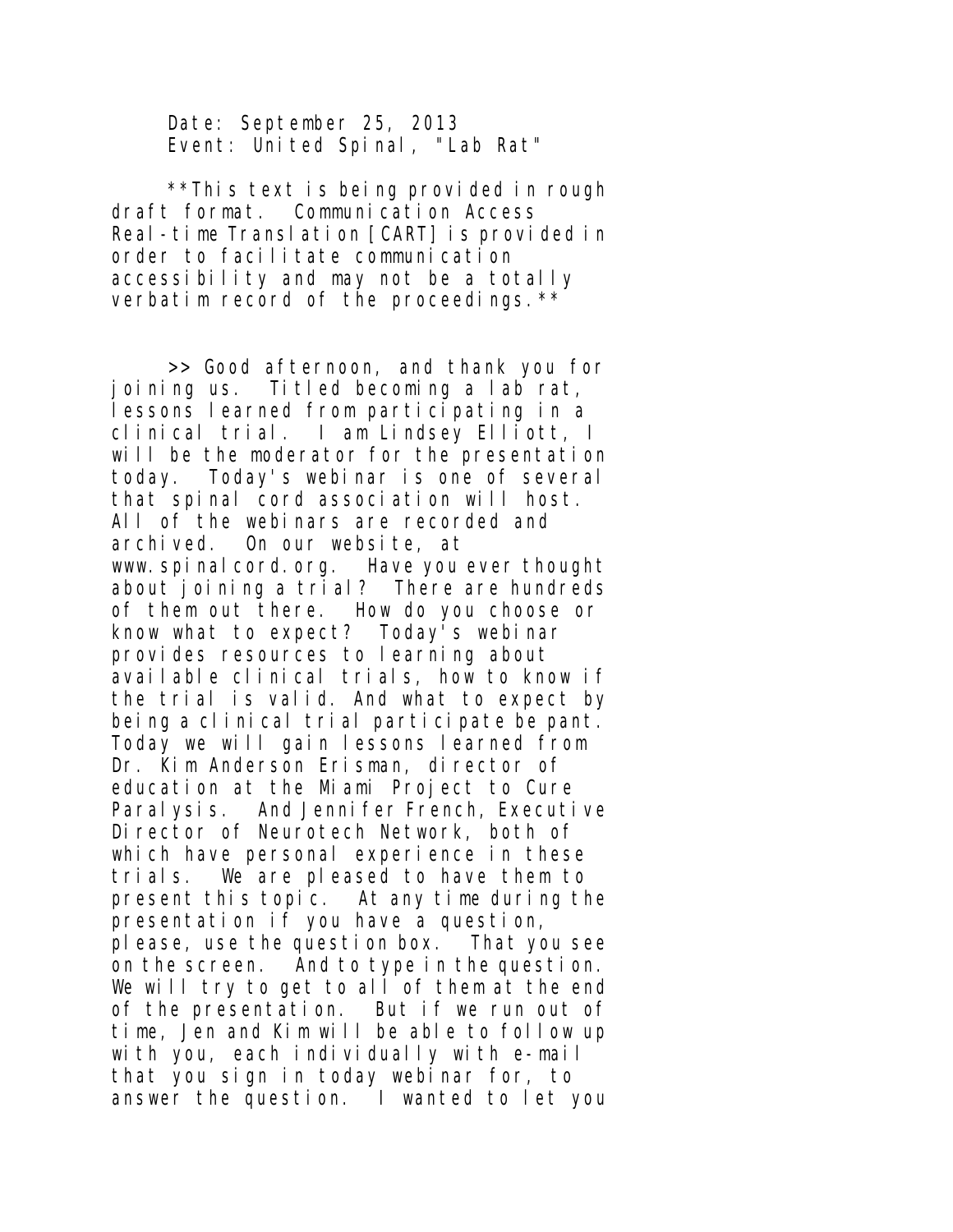Date: September 25, 2013 Event: United Spinal, "Lab Rat"

\*\*This text is being provided in rough draft format. Communication Access Real-time Translation [CART] is provided in order to facilitate communication accessibility and may not be a totally verbatim record of the proceedings.\*\*

>> Good afternoon, and thank you for joining us. Titled becoming a lab rat, lessons learned from participating in a clinical trial. I am Lindsey Elliott, I will be the moderator for the presentation today. Today's webinar is one of several that spinal cord association will host. All of the webinars are recorded and archived. On our website, at www. spinal cord. org. Have you ever thought about joining a trial? There are hundreds of them out there. How do you choose or know what to expect? Today's webinar provides resources to learning about available clinical trials, how to know if the trial is valid. And what to expect by being a clinical trial participate be pant. Today we will gain lessons learned from Dr. Kim Anderson Erisman, director of education at the Miami Project to Cure Paralysis. And Jennifer French, Executive Director of Neurotech Network, both of which have personal experience in these trials. We are pleased to have them to present this topic. At any time during the presentation if you have a question, please, use the question box. That you see on the screen. And to type in the question. We will try to get to all of them at the end of the presentation. But if we run out of time, Jen and Kim will be able to follow up with you, each individually with e-mail that you sign in today webinar for, to answer the question. I wanted to let you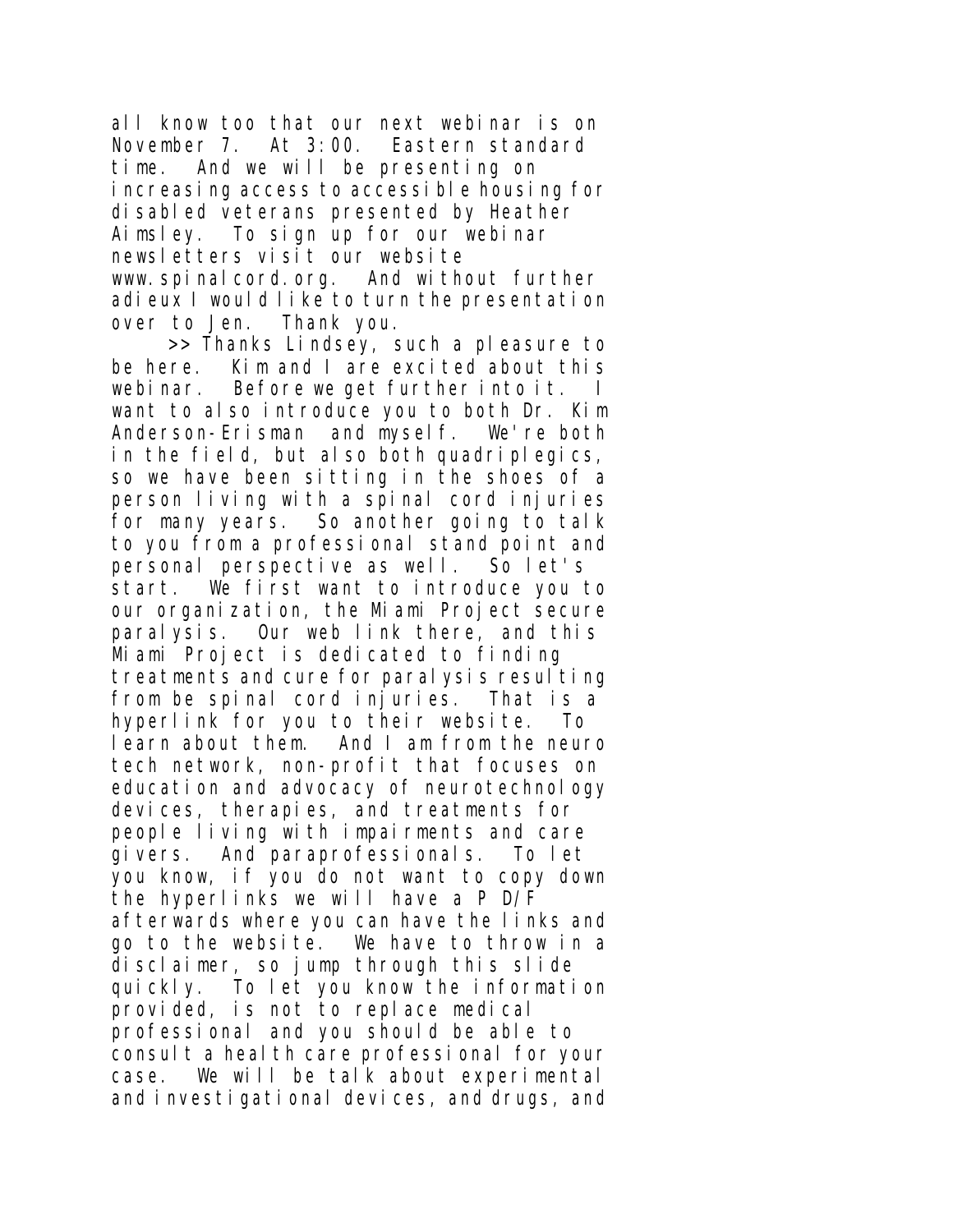all know too that our next webinar is on November 7. At 3:00. Eastern standard time. And we will be presenting on increasing access to accessible housing for disabled veterans presented by Heather Aimsley. To sign up for our webinar newsletters visit our website www.spinalcord.org. And without further adieux I would like to turn the presentation over to Jen. Thank you.

>> Thanks Lindsey, such a pleasure to be here. Kim and I are excited about this webinar. Before we get further into it. I want to also introduce you to both Dr. Kim Anderson-Erisman and myself. We're both in the field, but also both quadriplegics, so we have been sitting in the shoes of a person living with a spinal cord injuries for many years. So another going to talk to you from a professional stand point and personal perspective as well. So let's start. We first want to introduce you to our organization, the Miami Project secure paralysis. Our web link there, and this Miami Project is dedicated to finding treatments and cure for paralysis resulting from be spinal cord injuries. That is a hyperlink for you to their website. To learn about them. And I am from the neuro tech network, non-profit that focuses on education and advocacy of neurotechnology devices, therapies, and treatments for people living with impairments and care givers. And paraprofessionals. To let you know, if you do not want to copy down the hyperlinks we will have a P D/F afterwards where you can have the links and go to the website. We have to throw in a disclaimer, so jump through this slide quickly. To let you know the information provided, is not to replace medical professional and you should be able to consult a health care professional for your case. We will be talk about experimental and investigational devices, and drugs, and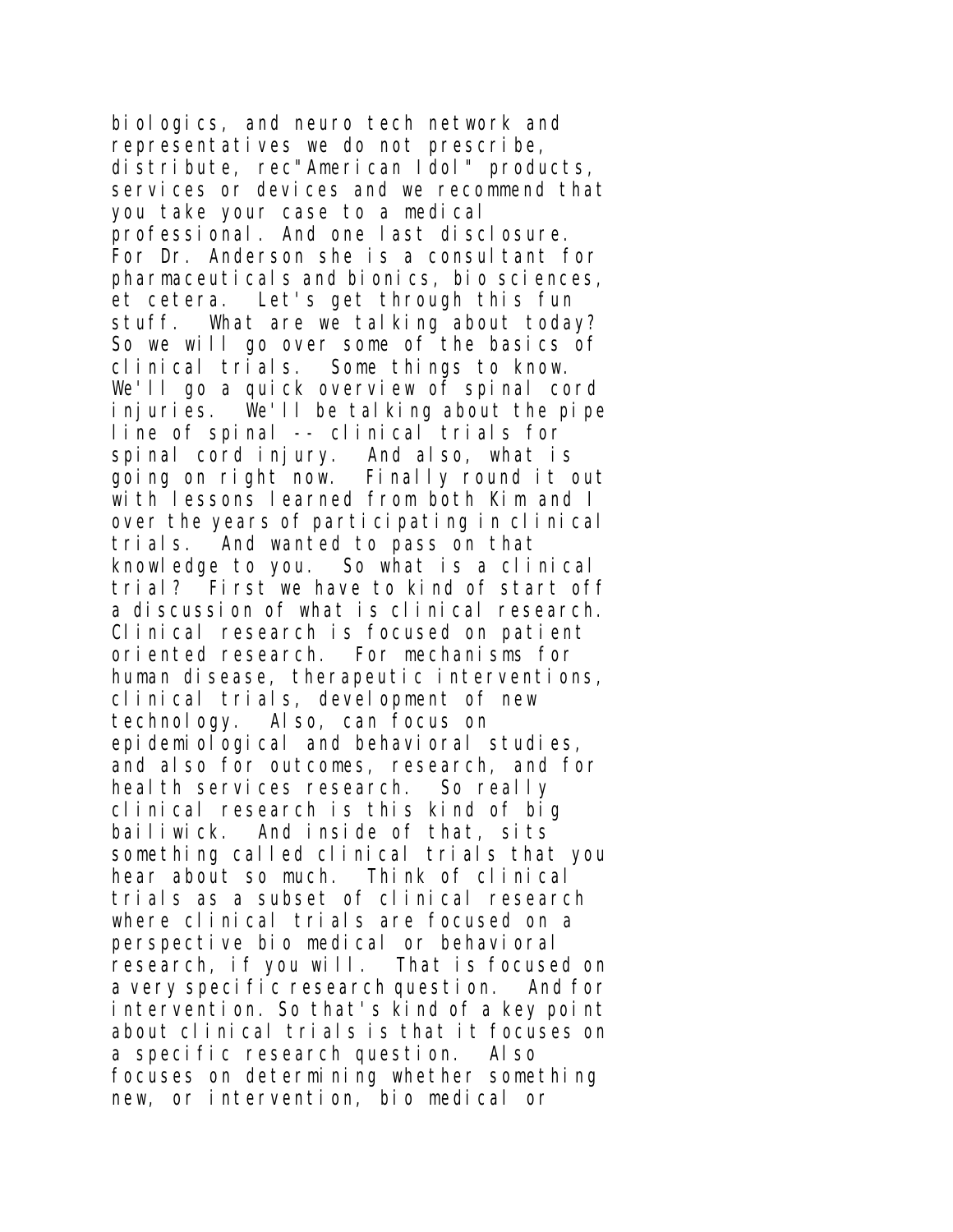biologics, and neuro tech network and representatives we do not prescribe, distribute, rec"American Idol" products, services or devices and we recommend that you take your case to a medical professional. And one last disclosure. For Dr. Anderson she is a consultant for pharmaceuticals and bionics, bio sciences, et cetera. Let's get through this fun stuff. What are we talking about today? So we will go over some of the basics of clinical trials. Some things to know. We'll go a quick overview of spinal cord injuries. We'll be talking about the pipe line of spinal -- clinical trials for spinal cord injury. And also, what is going on right now. Finally round it out with lessons learned from both Kim and I over the years of participating in clinical trials. And wanted to pass on that knowledge to you. So what is a clinical trial? First we have to kind of start off a discussion of what is clinical research. Clinical research is focused on patient oriented research. For mechanisms for human disease, therapeutic interventions, clinical trials, development of new technology. Also, can focus on epidemiological and behavioral studies, and also for outcomes, research, and for health services research. So really clinical research is this kind of big bailiwick. And inside of that, sits something called clinical trials that you hear about so much. Think of clinical trials as a subset of clinical research where clinical trials are focused on a perspective bio medical or behavioral research, if you will. That is focused on a very specific research question. And for intervention. So that's kind of a key point about clinical trials is that it focuses on a specific research question. Also focuses on determining whether something new, or intervention, bio medical or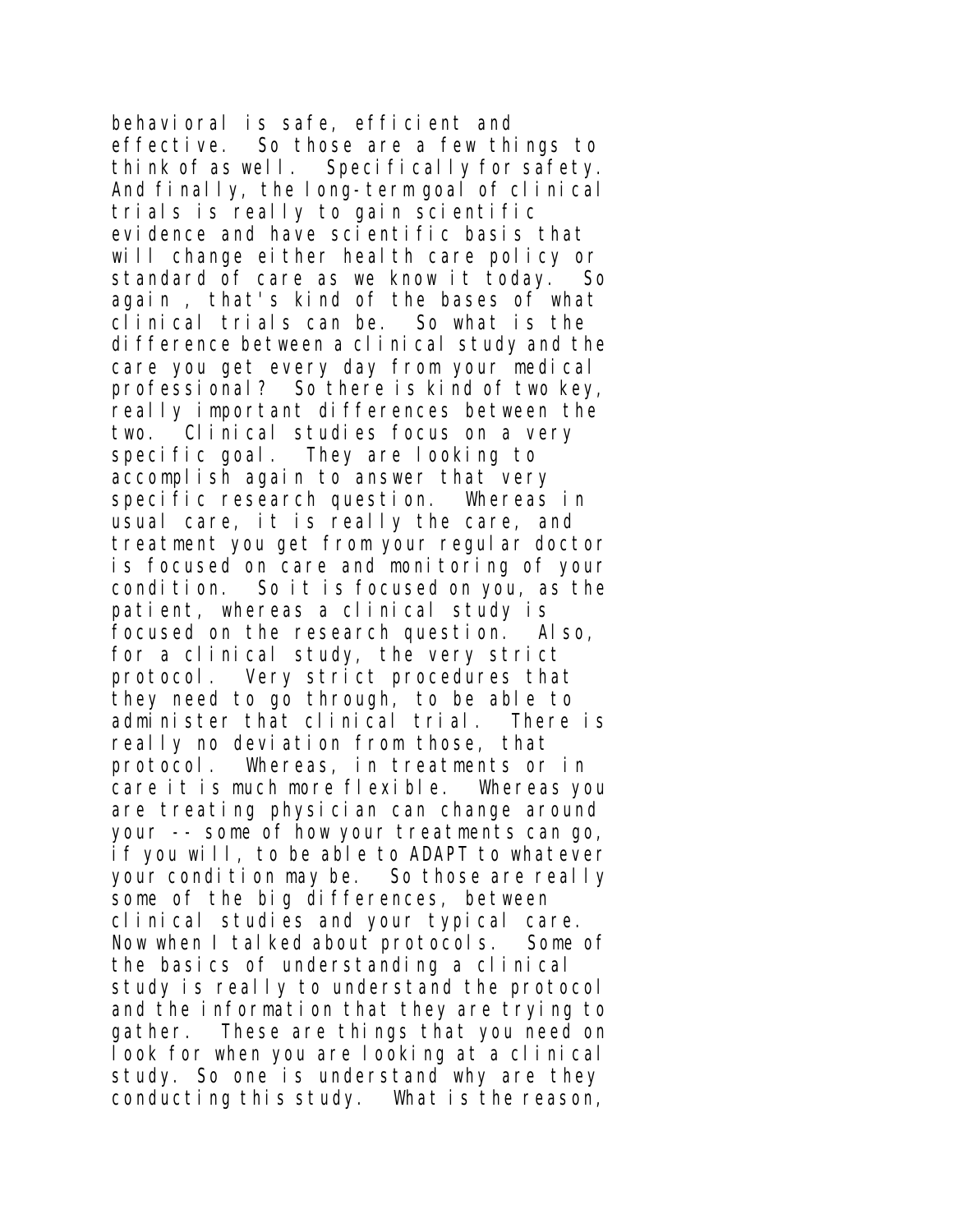behavioral is safe, efficient and effective. So those are a few things to think of as well. Specifically for safety. And finally, the long-term goal of clinical trials is really to gain scientific evidence and have scientific basis that will change either health care policy or standard of care as we know it today. So again , that's kind of the bases of what clinical trials can be. So what is the difference between a clinical study and the care you get every day from your medical professional? So there is kind of two key, really important differences between the two. Clinical studies focus on a very specific goal. They are looking to accomplish again to answer that very specific research question. Whereas in usual care, it is really the care, and treatment you get from your regular doctor is focused on care and monitoring of your condition. So it is focused on you, as the patient, whereas a clinical study is focused on the research question. Also, for a clinical study, the very strict protocol. Very strict procedures that they need to go through, to be able to administer that clinical trial. There is really no deviation from those, that protocol. Whereas, in treatments or in care it is much more flexible. Whereas you are treating physician can change around your -- some of how your treatments can go, if you will, to be able to ADAPT to whatever your condition may be. So those are really some of the big differences, between clinical studies and your typical care. Now when I talked about protocols. Some of the basics of understanding a clinical study is really to understand the protocol and the information that they are trying to gather. These are things that you need on look for when you are looking at a clinical study. So one is understand why are they conducting this study. What is the reason,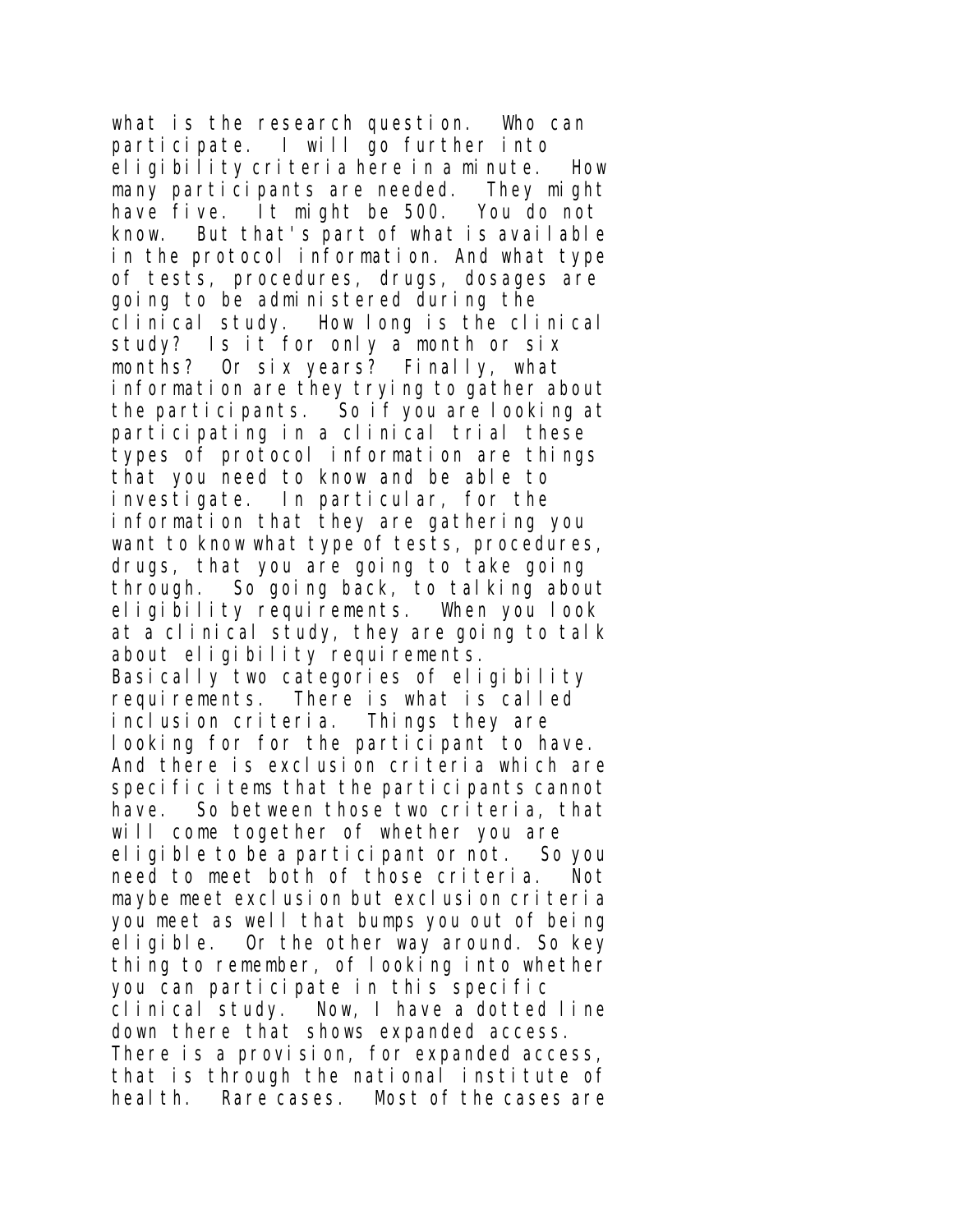what is the research question. Who can participate. I will go further into eligibility criteria here in a minute. How many participants are needed. They might have five. It might be 500. You do not know. But that's part of what is available in the protocol information. And what type of tests, procedures, drugs, dosages are going to be administered during the clinical study. How long is the clinical study? Is it for only a month or six months? Or six years? Finally, what information are they trying to gather about the participants. So if you are looking at participating in a clinical trial these types of protocol information are things that you need to know and be able to investigate. In particular, for the information that they are gathering you want to know what type of tests, procedures, drugs, that you are going to take going through. So going back, to talking about eligibility requirements. When you look at a clinical study, they are going to talk about eligibility requirements. Basically two categories of eligibility requirements. There is what is called inclusion criteria. Things they are looking for for the participant to have. And there is exclusion criteria which are specific items that the participants cannot have. So between those two criteria, that will come together of whether you are eligible to be a participant or not. So you need to meet both of those criteria. Not maybe meet exclusion but exclusion criteria you meet as well that bumps you out of being eligible. Or the other way around. So key thing to remember, of looking into whether you can participate in this specific clinical study. Now, I have a dotted line down there that shows expanded access. There is a provision, for expanded access, that is through the national institute of heal th. Rare cases. Most of the cases are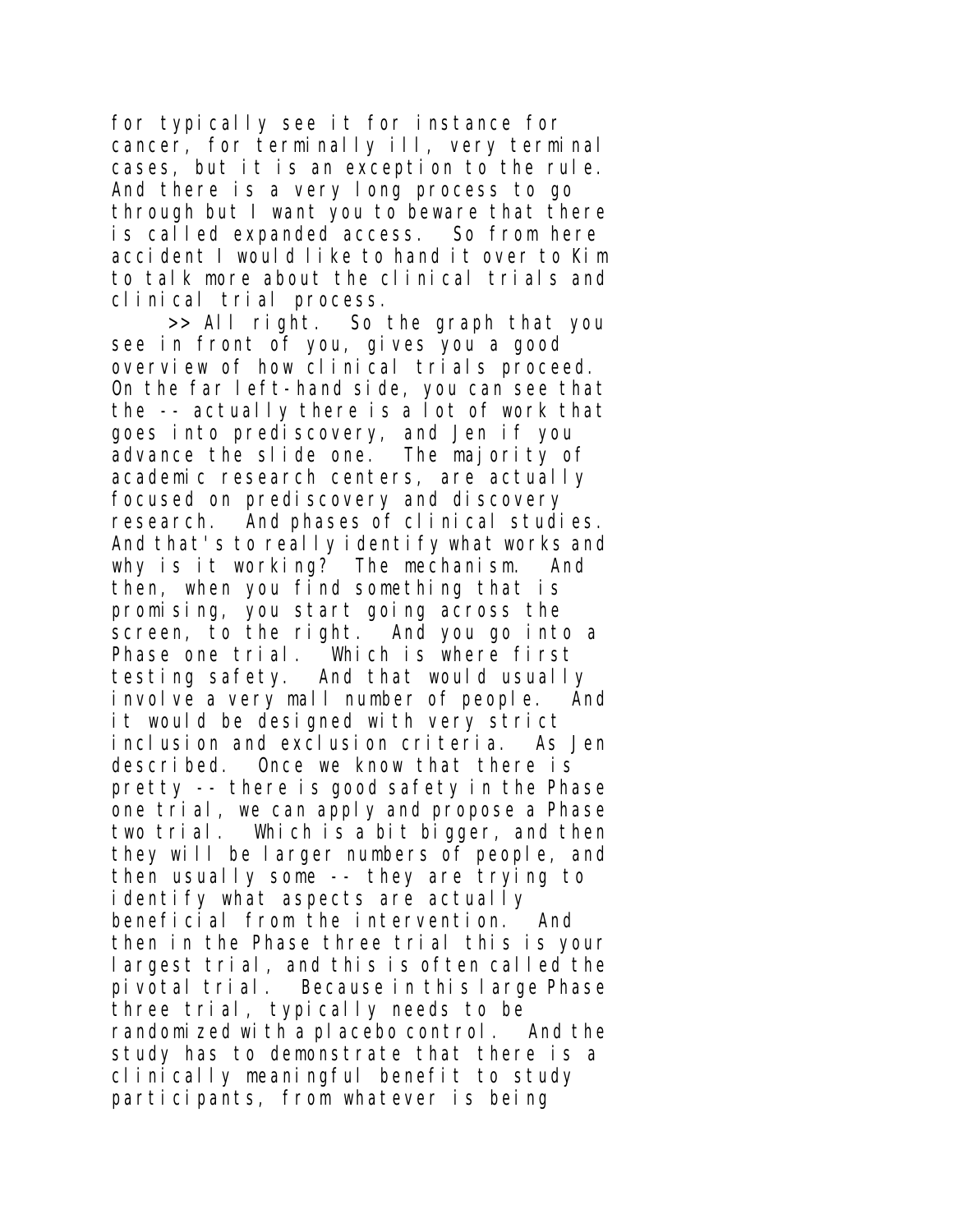for typically see it for instance for cancer, for terminally ill, very terminal cases, but it is an exception to the rule. And there is a very long process to go through but I want you to beware that there is called expanded access. So from here accident I would like to hand it over to Kim to talk more about the clinical trials and clinical trial process.

>> All right. So the graph that you see in front of you, gives you a good overview of how clinical trials proceed. On the far left-hand side, you can see that the -- actually there is a lot of work that goes into prediscovery, and Jen if you advance the slide one. The majority of academic research centers, are actually focused on prediscovery and discovery research. And phases of clinical studies. And that's to really identify what works and why is it working? The mechanism. And then, when you find something that is promising, you start going across the screen, to the right. And you go into a Phase one trial. Which is where first testing safety. And that would usually involve a very mall number of people. And it would be designed with very strict inclusion and exclusion criteria. As Jen described. Once we know that there is pretty -- there is good safety in the Phase one trial, we can apply and propose a Phase two trial. Which is a bit bigger, and then they will be larger numbers of people, and then usually some -- they are trying to identify what aspects are actually beneficial from the intervention. And then in the Phase three trial this is your largest trial, and this is often called the pivotal trial. Because in this large Phase three trial, typically needs to be randomized with a placebo control. And the study has to demonstrate that there is a clinically meaningful benefit to study participants, from whatever is being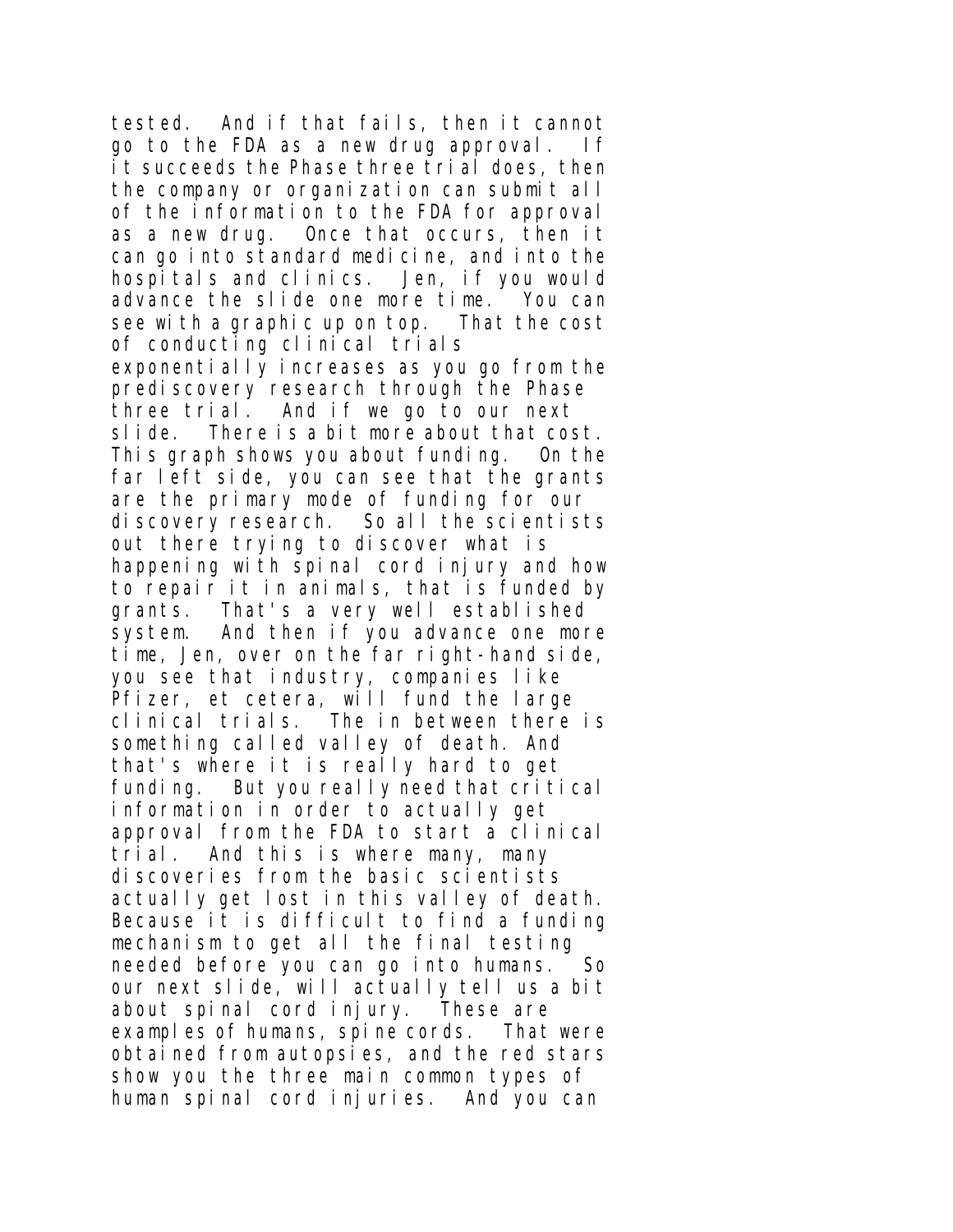tested. And if that fails, then it cannot go to the FDA as a new drug approval. If it succeeds the Phase three trial does, then the company or organization can submit all of the information to the FDA for approval as a new drug. Once that occurs, then it can go into standard medicine, and into the hospitals and clinics. Jen, if you would advance the slide one more time. You can see with a graphic up on top. That the cost of conducting clinical trials exponentially increases as you go from the prediscovery research through the Phase three trial. And if we go to our next slide. There is a bit more about that cost. This graph shows you about funding. On the far left side, you can see that the grants are the primary mode of funding for our discovery research. So all the scientists out there trying to discover what is happening with spinal cord injury and how to repair it in animals, that is funded by grants. That's a very well established system. And then if you advance one more time, Jen, over on the far right-hand side, you see that industry, companies like Pfizer, et cetera, will fund the large clinical trials. The in between there is something called valley of death. And that's where it is really hard to get funding. But you really need that critical information in order to actually get approval from the FDA to start a clinical trial. And this is where many, many discoveries from the basic scientists actually get lost in this valley of death. Because it is difficult to find a funding mechanism to get all the final testing needed before you can go into humans. So our next slide, will actually tell us a bit about spinal cord injury. These are examples of humans, spine cords. That were obtained from autopsies, and the red stars show you the three main common types of human spinal cord injuries. And you can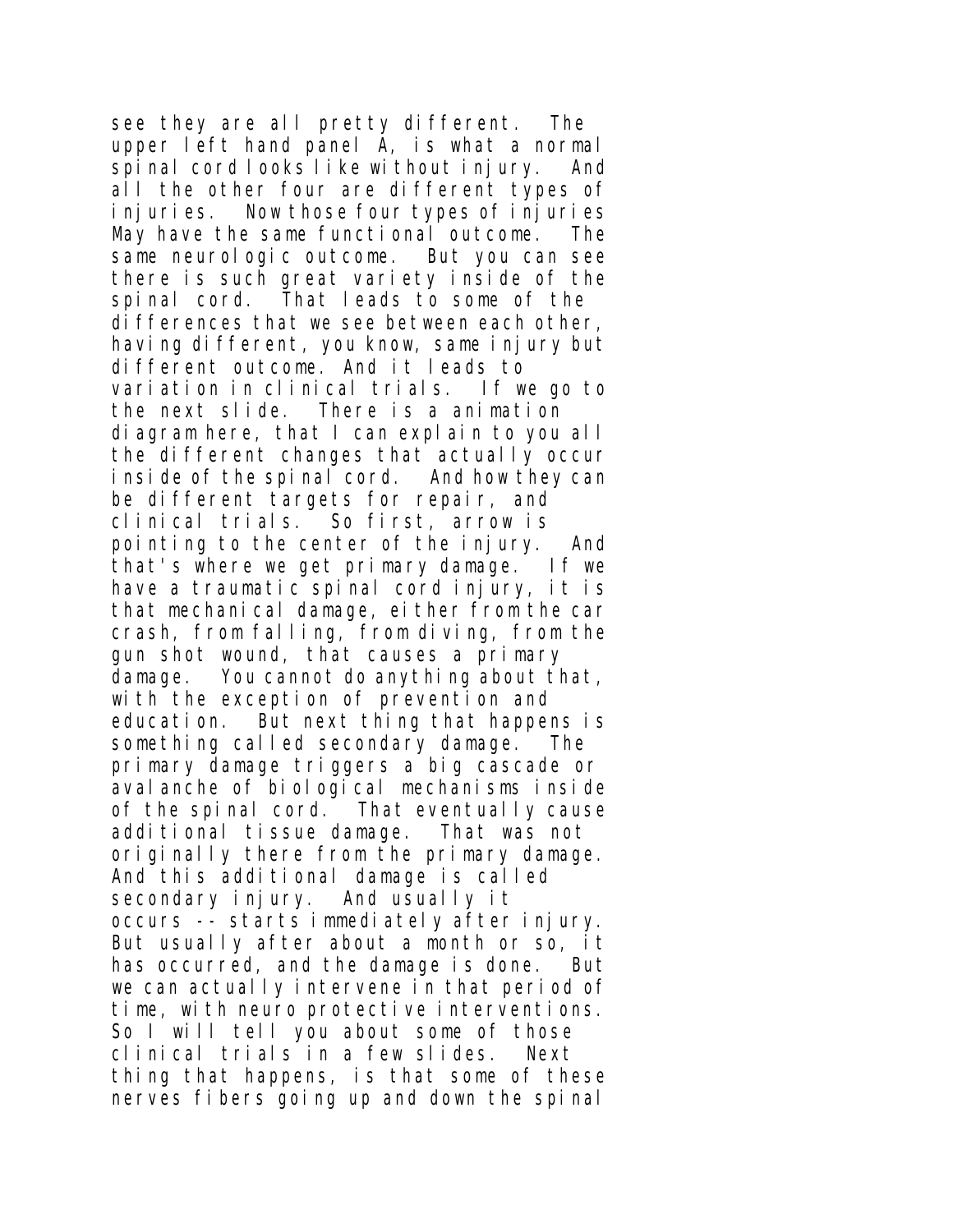see they are all pretty different. The upper left hand panel A, is what a normal spinal cord looks like without injury. And all the other four are different types of injuries. Now those four types of injuries May have the same functional outcome. The same neurologic outcome. But you can see there is such great variety inside of the spinal cord. That leads to some of the differences that we see between each other, having different, you know, same injury but different outcome. And it leads to variation in clinical trials. If we go to the next slide. There is a animation diagram here, that I can explain to you all the different changes that actually occur inside of the spinal cord. And how they can be different targets for repair, and clinical trials. So first, arrow is pointing to the center of the injury. And that's where we get primary damage. If we have a traumatic spinal cord injury, it is that mechanical damage, either from the car crash, from falling, from diving, from the gun shot wound, that causes a primary damage. You cannot do anything about that, with the exception of prevention and education. But next thing that happens is something called secondary damage. The primary damage triggers a big cascade or avalanche of biological mechanisms inside of the spinal cord. That eventually cause additional tissue damage. That was not originally there from the primary damage. And this additional damage is called secondary injury. And usually it occurs -- starts immediately after injury. But usually after about a month or so, it has occurred, and the damage is done. But we can actually intervene in that period of time, with neuro protective interventions. So I will tell you about some of those clinical trials in a few slides. Next thing that happens, is that some of these nerves fibers going up and down the spinal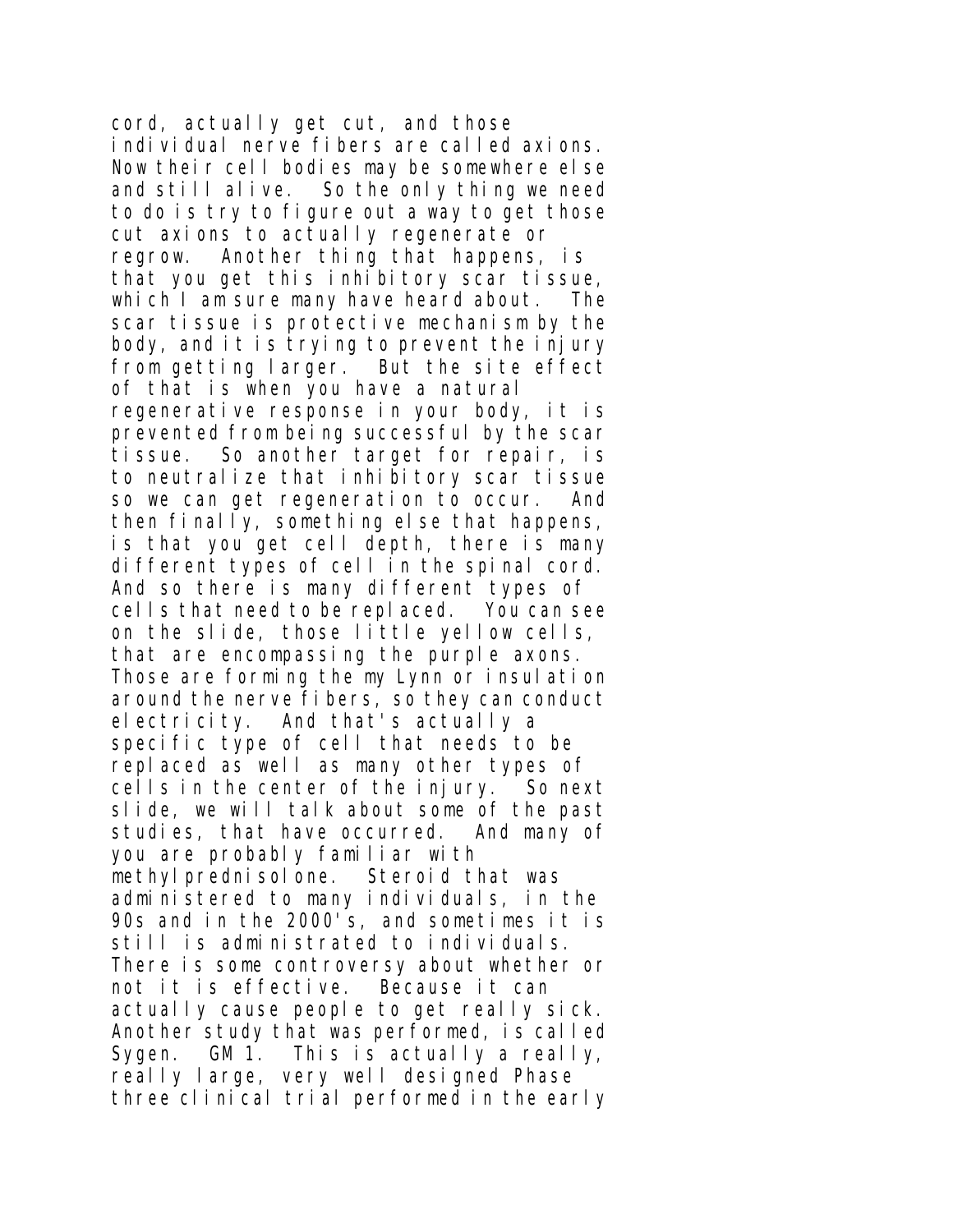cord, actually get cut, and those individual nerve fibers are called axions. Now their cell bodies may be somewhere else and still alive. So the only thing we need to do is try to figure out a way to get those cut axions to actually regenerate or regrow. Another thing that happens, is that you get this inhibitory scar tissue, which I am sure many have heard about. The scar tissue is protective mechanism by the body, and it is trying to prevent the injury from getting larger. But the site effect of that is when you have a natural regenerative response in your body, it is prevented from being successful by the scar tissue. So another target for repair, is to neutralize that inhibitory scar tissue so we can get regeneration to occur. And then finally, something else that happens, is that you get cell depth, there is many different types of cell in the spinal cord. And so there is many different types of cells that need to be replaced. You can see on the slide, those little yellow cells, that are encompassing the purple axons. Those are forming the my Lynn or insulation around the nerve fibers, so they can conduct electricity. And that's actually a specific type of cell that needs to be replaced as well as many other types of cells in the center of the injury. So next slide, we will talk about some of the past studies, that have occurred. And many of you are probably familiar with methylprednisolone. Steroid that was administered to many individuals, in the 90s and in the 2000's, and sometimes it is still is administrated to individuals. There is some controversy about whether or not it is effective. Because it can actually cause people to get really sick. Another study that was performed, is called Svaen. GM 1. This is actually a really, really large, very well designed Phase three clinical trial performed in the early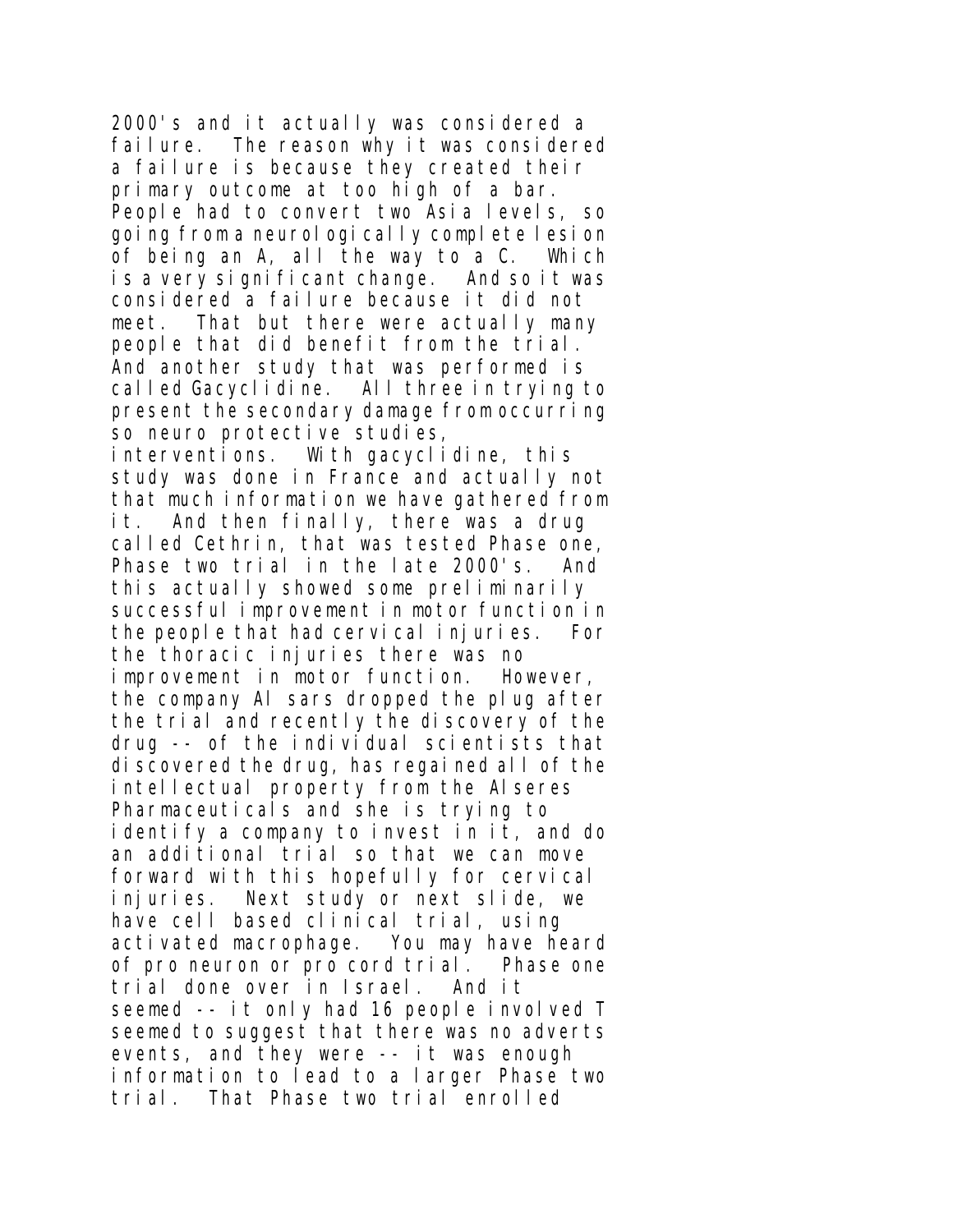2000's and it actually was considered a failure. The reason why it was considered a failure is because they created their primary outcome at too high of a bar. People had to convert two Asia levels, so going from a neurologically complete lesion of being an A, all the way to a C. Which is a very significant change. And so it was considered a failure because it did not meet. That but there were actually many people that did benefit from the trial. And another study that was performed is called Gacyclidine. All three in trying to present the secondary damage from occurring so neuro protective studies, interventions. With gacyclidine, this study was done in France and actually not that much information we have gathered from it. And then finally, there was a drug called Cethrin, that was tested Phase one, Phase two trial in the late 2000's. And this actually showed some preliminarily successful improvement in motor function in the people that had cervical injuries. For the thoracic injuries there was no improvement in motor function. However, the company Al sars dropped the plug after the trial and recently the discovery of the drug -- of the individual scientists that discovered the drug, has regained all of the intellectual property from the Alseres Pharmaceuticals and she is trying to identify a company to invest in it, and do an additional trial so that we can move forward with this hopefully for cervical injuries. Next study or next slide, we have cell based clinical trial, using activated macrophage. You may have heard of pro neuron or pro cord trial. Phase one trial done over in Israel. And it seemed -- it only had 16 people involved T seemed to suggest that there was no adverts events, and they were -- it was enough information to lead to a larger Phase two trial. That Phase two trial enrolled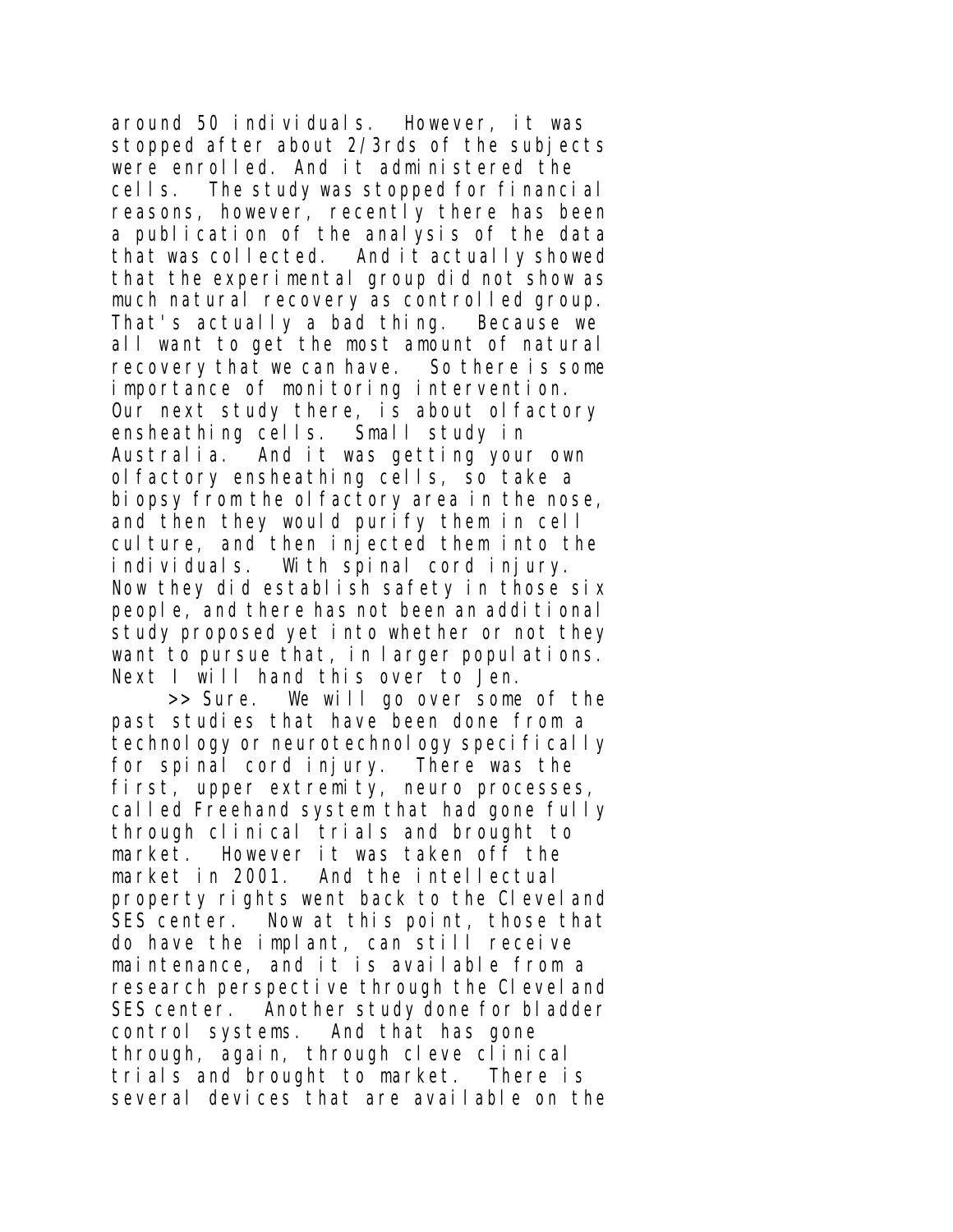around 50 individuals. However, it was stopped after about 2/3rds of the subjects were enrolled. And it administered the cells. The study was stopped for financial reasons, however, recently there has been a publication of the analysis of the data that was collected. And it actually showed that the experimental group did not show as much natural recovery as controlled group. That's actually a bad thing. Because we all want to get the most amount of natural recovery that we can have. So there is some importance of monitoring intervention. Our next study there, is about olfactory ensheathing cells. Small study in Australia. And it was getting your own olfactory ensheathing cells, so take a biopsy from the olfactory area in the nose, and then they would purify them in cell culture, and then injected them into the individuals. With spinal cord injury. Now they did establish safety in those six people, and there has not been an additional study proposed yet into whether or not they want to pursue that, in larger populations. Next I will hand this over to Jen.

>> Sure. We will go over some of the past studies that have been done from a technology or neurotechnology specifically for spinal cord injury. There was the first, upper extremity, neuro processes, called Freehand system that had gone fully through clinical trials and brought to market. However it was taken off the market in 2001. And the intellectual property rights went back to the Cleveland SES center. Now at this point, those that do have the implant, can still receive maintenance, and it is available from a research perspective through the Clevel and SES center. Another study done for bladder control systems. And that has gone through, again, through cleve clinical trials and brought to market. There is several devices that are available on the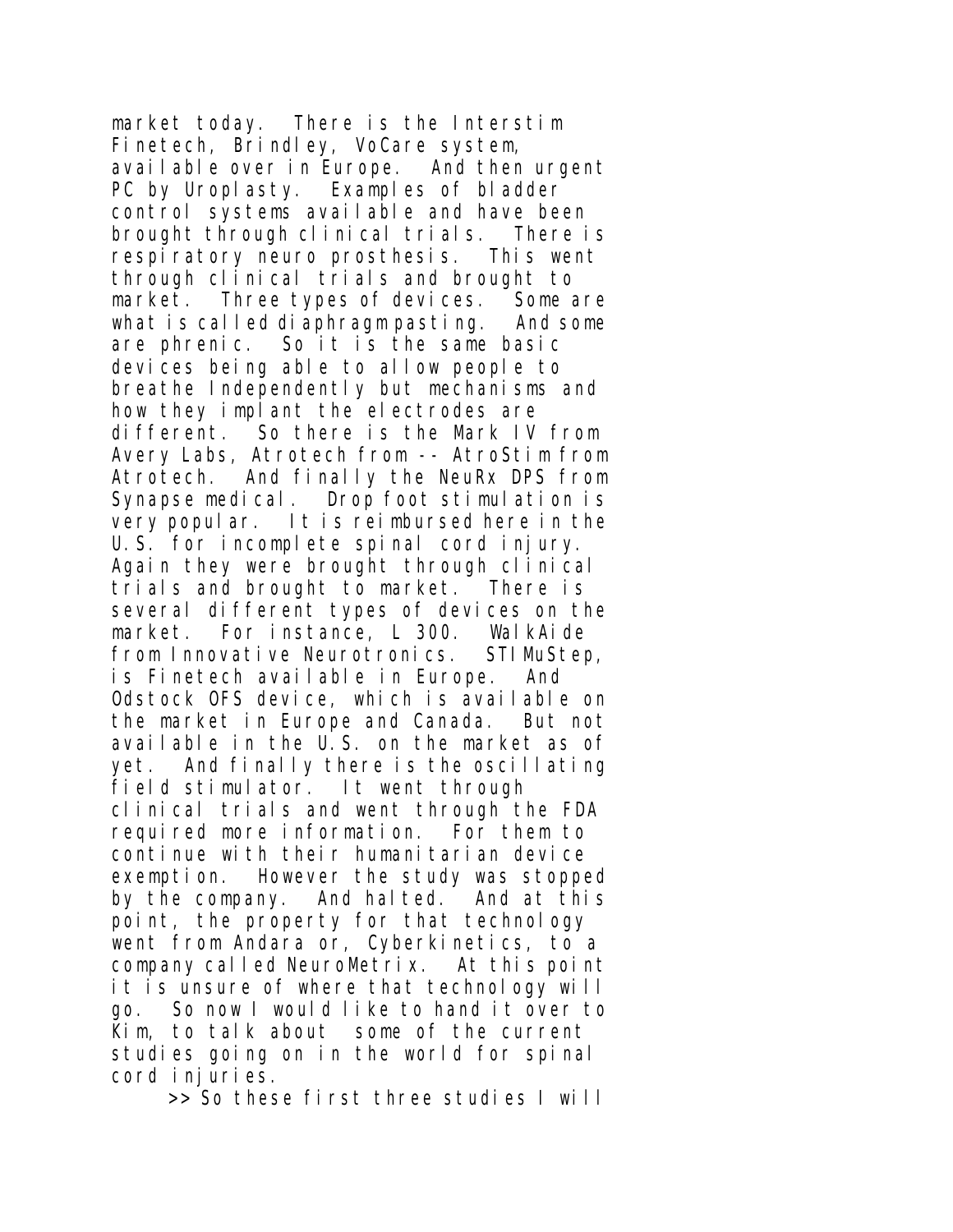market today. There is the Interstim Finetech, Brindley, VoCare system, available over in Europe. And then urgent PC by Uroplasty. Examples of bladder control systems available and have been brought through clinical trials. There is respiratory neuro prosthesis. This went through clinical trials and brought to market. Three types of devices. Some are what is called diaphragm pasting. And some are phrenic. So it is the same basic devices being able to allow people to breathe Independently but mechanisms and how they implant the electrodes are different. So there is the Mark IV from Avery Labs, Atrotech from -- AtroStim from Atrotech. And finally the NeuRx DPS from Synapse medical. Drop foot stimulation is very popular. It is reimbursed here in the U.S. for incomplete spinal cord injury. Again they were brought through clinical trials and brought to market. There is several different types of devices on the market. For instance, L 300. WalkAide from Innovative Neurotronics. STIMuStep, is Finetech available in Europe. And Odstock OFS device, which is available on the market in Europe and Canada. But not available in the U.S. on the market as of yet. And finally there is the oscillating field stimulator. It went through clinical trials and went through the FDA required more information. For them to continue with their humanitarian device exemption. However the study was stopped by the company. And halted. And at this point, the property for that technology went from Andara or, Cyberkinetics, to a company called NeuroMetrix. At this point it is unsure of where that technology will go. So now I would like to hand it over to Kim, to talk about some of the current studies going on in the world for spinal cord injuries.

>> So these first three studies I will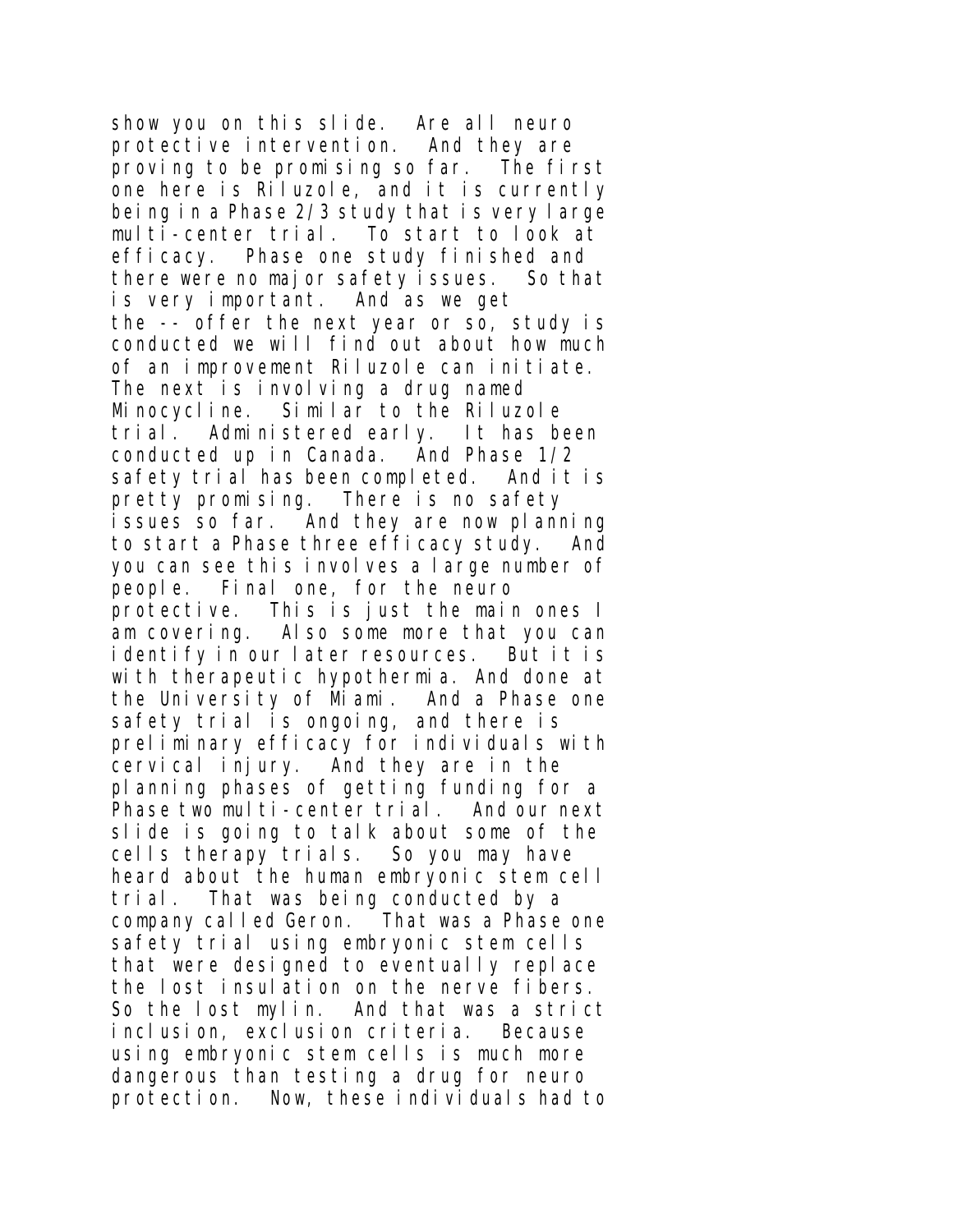show you on this slide. Are all neuro protective intervention. And they are proving to be promising so far. The first one here is Riluzole, and it is currently being in a Phase 2/3 study that is very large multi-center trial. To start to look at efficacy. Phase one study finished and there were no major safety issues. So that is very important. And as we get the -- offer the next year or so, study is conducted we will find out about how much of an improvement Riluzole can initiate. The next is involving a drug named Minocycline. Similar to the Riluzole trial. Administered early. It has been conducted up in Canada. And Phase 1/2 safety trial has been completed. And it is pretty promising. There is no safety issues so far. And they are now planning to start a Phase three efficacy study. And you can see this involves a large number of people. Final one, for the neuro protective. This is just the main ones I am covering. Also some more that you can identify in our later resources. But it is with therapeutic hypothermia. And done at the University of Miami. And a Phase one safety trial is ongoing, and there is preliminary efficacy for individuals with cervical injury. And they are in the planning phases of getting funding for a Phase two multi-center trial. And our next slide is going to talk about some of the cells therapy trials. So you may have heard about the human embryonic stem cell trial. That was being conducted by a company called Geron. That was a Phase one safety trial using embryonic stem cells that were designed to eventually replace the lost insulation on the nerve fibers. So the lost mylin. And that was a strict inclusion, exclusion criteria. Because using embryonic stem cells is much more dangerous than testing a drug for neuro protection. Now, these individuals had to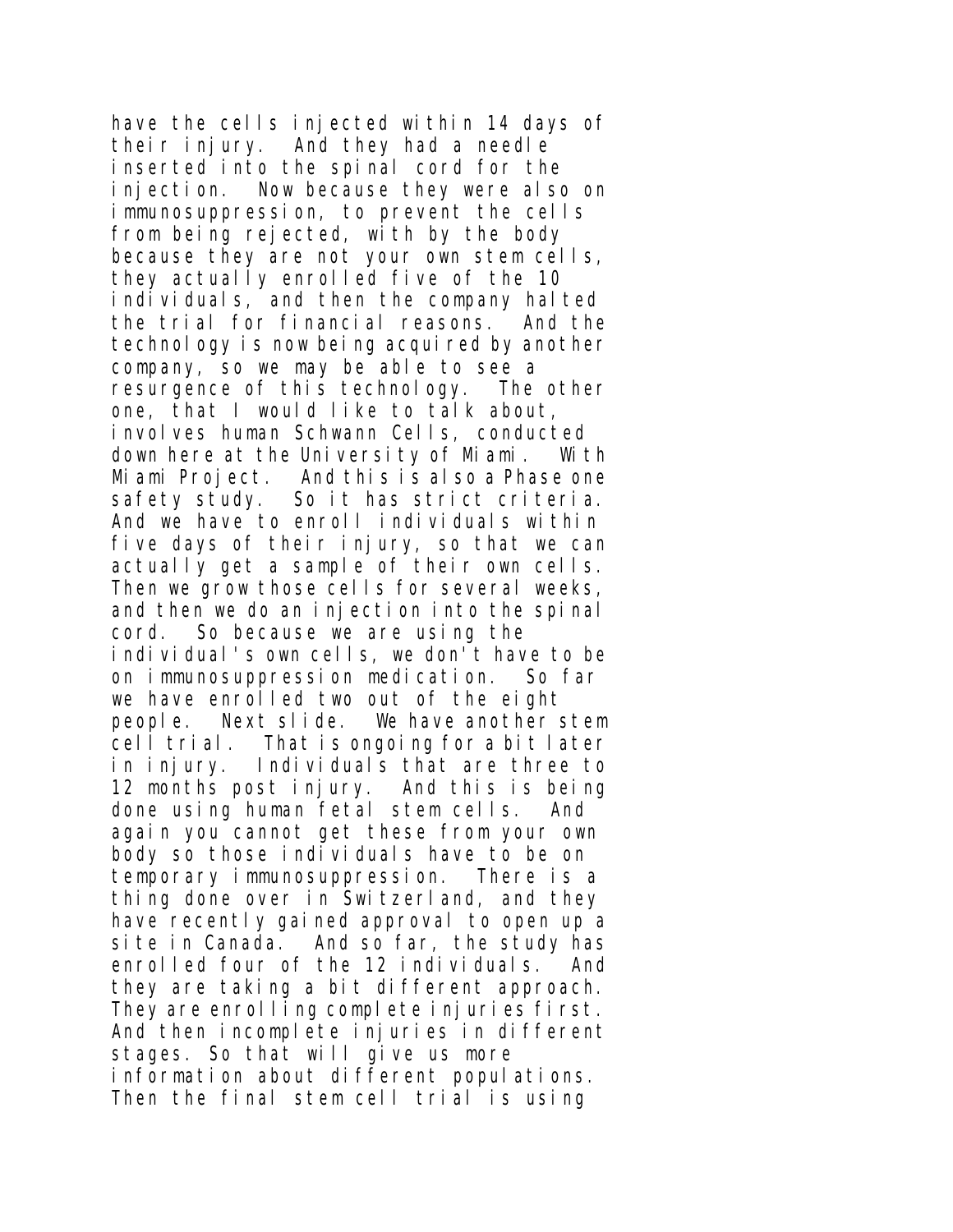have the cells injected within 14 days of their injury. And they had a needle inserted into the spinal cord for the injection. Now because they were also on immunosuppression, to prevent the cells from being rejected, with by the body because they are not your own stem cells, they actually enrolled five of the 10 individuals, and then the company halted the trial for financial reasons. And the technology is now being acquired by another company, so we may be able to see a resurgence of this technology. The other one, that I would like to talk about, involves human Schwann Cells, conducted down here at the University of Miami. With Miami Project. And this is also a Phase one safety study. So it has strict criteria. And we have to enroll individuals within five days of their injury, so that we can actually get a sample of their own cells. Then we grow those cells for several weeks, and then we do an injection into the spinal cord. So because we are using the individual's own cells, we don't have to be on immunosuppression medication. So far we have enrolled two out of the eight people. Next slide. We have another stem cell trial. That is ongoing for a bit later in injury. Individuals that are three to 12 months post injury. And this is being done using human fetal stem cells. And again you cannot get these from your own body so those individuals have to be on temporary immunosuppression. There is a thing done over in Switzerland, and they have recently gained approval to open up a site in Canada. And so far, the study has enrolled four of the 12 individuals. And they are taking a bit different approach. They are enrolling complete injuries first. And then incomplete injuries in different stages. So that will give us more information about different populations. Then the final stem cell trial is using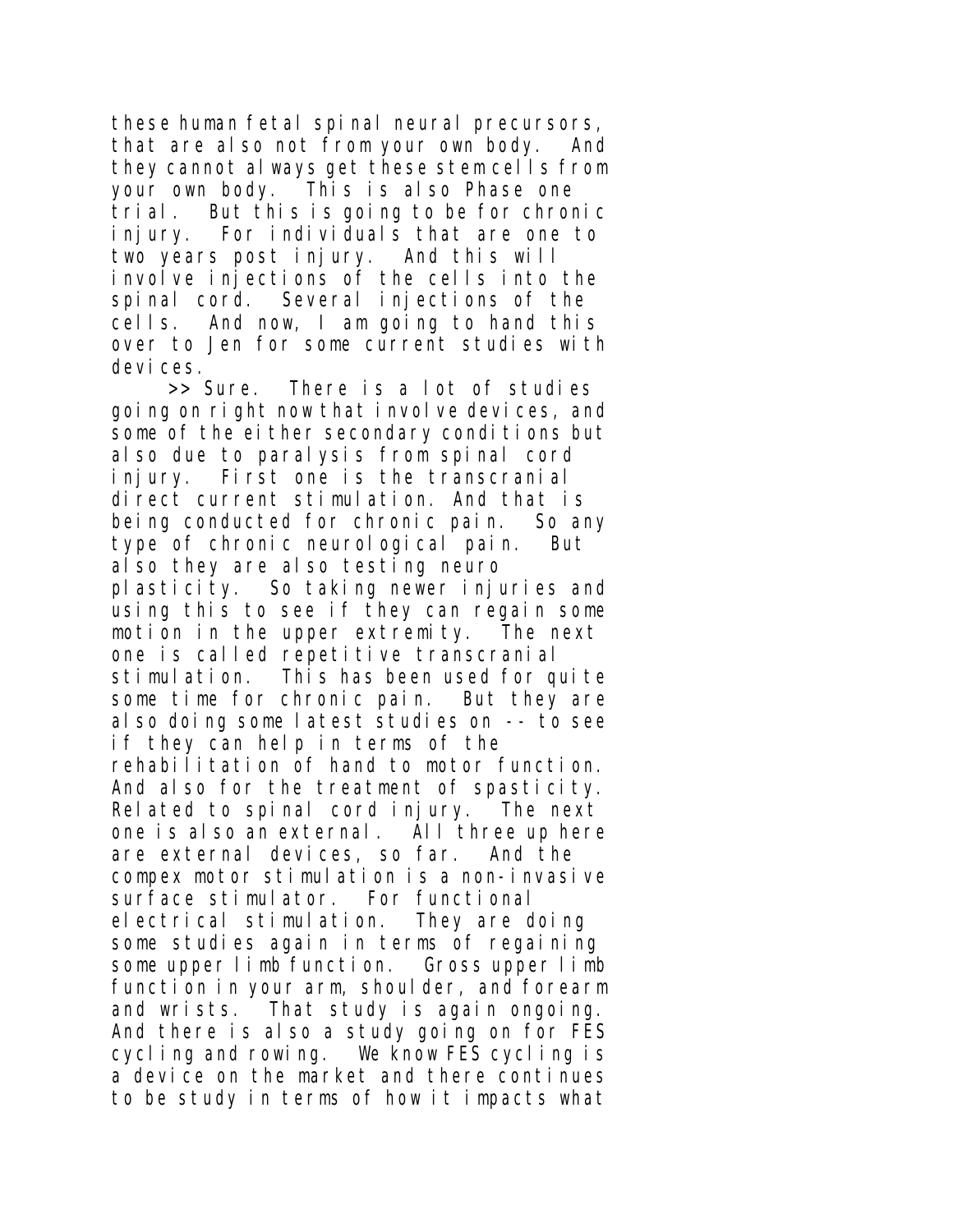these human fetal spinal neural precursors, that are also not from your own body. And they cannot always get these stem cells from your own body. This is also Phase one trial. But this is going to be for chronic injury. For individuals that are one to two years post injury. And this will involve injections of the cells into the spinal cord. Several injections of the cells. And now, I am going to hand this over to Jen for some current studies with devices.

>> Sure. There is a lot of studies going on right now that involve devices, and some of the either secondary conditions but also due to paralysis from spinal cord injury. First one is the transcranial direct current stimulation. And that is being conducted for chronic pain. So any type of chronic neurological pain. But also they are also testing neuro plasticity. So taking newer injuries and using this to see if they can regain some motion in the upper extremity. The next one is called repetitive transcranial stimulation. This has been used for quite some time for chronic pain. But they are also doing some latest studies on -- to see if they can help in terms of the rehabilitation of hand to motor function. And also for the treatment of spasticity. Related to spinal cord injury. The next one is also an external. All three up here are external devices, so far. And the compex motor stimulation is a non-invasive surface stimulator. For functional electrical stimulation. They are doing some studies again in terms of regaining some upper limb function. Gross upper limb function in your arm, shoulder, and forearm and wrists. That study is again ongoing. And there is also a study going on for FES cycling and rowing. We know FES cycling is a device on the market and there continues to be study in terms of how it impacts what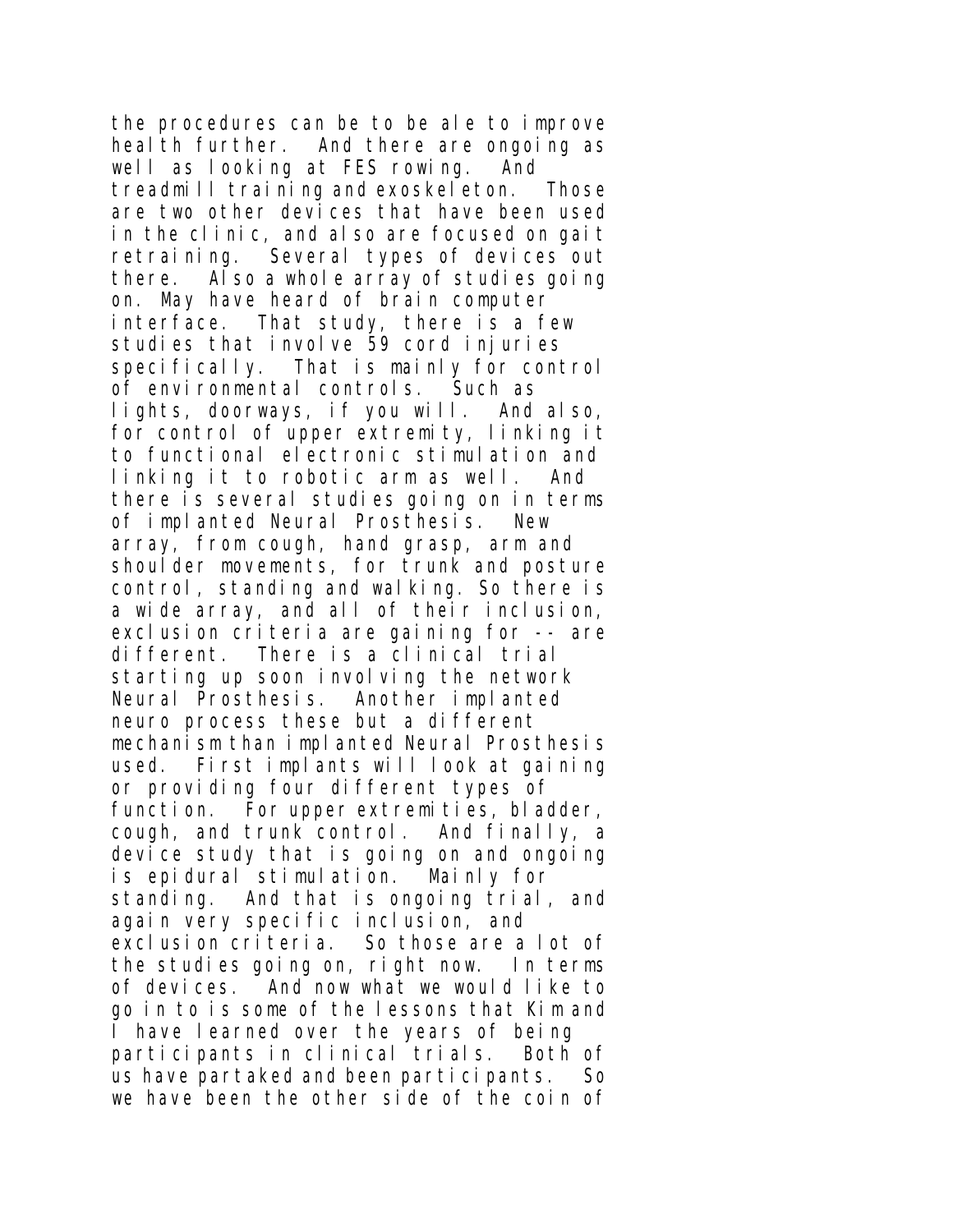the procedures can be to be ale to improve heal th further. And there are ongoing as well as looking at FES rowing. And treadmill training and exoskeleton. Those are two other devices that have been used in the clinic, and also are focused on gait retraining. Several types of devices out there. Also a whole array of studies going on. May have heard of brain computer interface. That study, there is a few studies that involve 59 cord injuries specifically. That is mainly for control of environmental controls. Such as lights, doorways, if you will. And also, for control of upper extremity, linking it to functional electronic stimulation and linking it to robotic arm as well. And there is several studies going on in terms of implanted Neural Prosthesis. New array, from cough, hand grasp, arm and shoul der movements, for trunk and posture control, standing and walking. So there is a wide array, and all of their inclusion, exclusion criteria are gaining for -- are different. There is a clinical trial starting up soon involving the network Neural Prosthesis. Another implanted neuro process these but a different mechanism than implanted Neural Prosthesis used. First implants will look at gaining or providing four different types of function. For upper extremities, bladder, cough, and trunk control. And finally, a device study that is going on and ongoing is epidural stimulation. Mainly for standing. And that is ongoing trial, and again very specific inclusion, and exclusion criteria. So those are a lot of the studies going on, right now. In terms of devices. And now what we would like to go in to is some of the lessons that Kim and I have learned over the years of being participants in clinical trials. Both of us have partaked and been participants. So we have been the other side of the coin of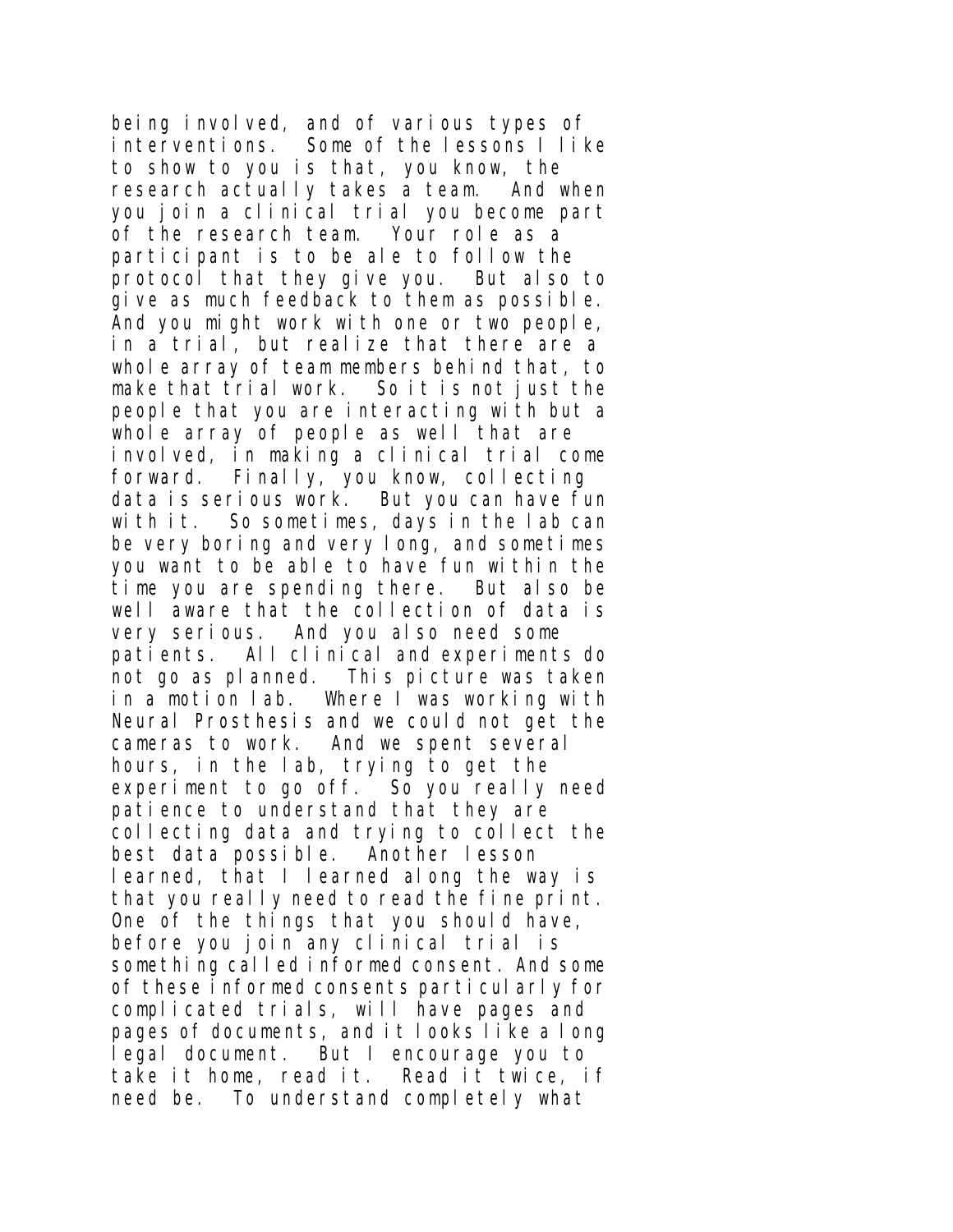being involved, and of various types of interventions. Some of the lessons I like to show to you is that, you know, the research actually takes a team. And when you join a clinical trial you become part of the research team. Your role as a participant is to be ale to follow the protocol that they give you. But also to give as much feedback to them as possible. And you might work with one or two people, in a trial, but realize that there are a whole array of team members behind that, to make that trial work. So it is not just the people that you are interacting with but a whole array of people as well that are involved, in making a clinical trial come forward. Finally, you know, collecting data is serious work. But you can have fun with it. So sometimes, days in the lab can be very boring and very long, and sometimes you want to be able to have fun within the time you are spending there. But also be well aware that the collection of data is very serious. And you also need some patients. All clinical and experiments do not go as planned. This picture was taken in a motion lab. Where I was working with Neural Prosthesis and we could not get the cameras to work. And we spent several hours, in the lab, trying to get the experiment to go off. So you really need patience to understand that they are collecting data and trying to collect the best data possible. Another lesson learned, that I learned along the way is that you really need to read the fine print. One of the things that you should have, before you join any clinical trial is something called informed consent. And some of these informed consents particularly for complicated trials, will have pages and pages of documents, and it looks like a long legal document. But I encourage you to take it home, read it. Read it twice, if need be. To understand completely what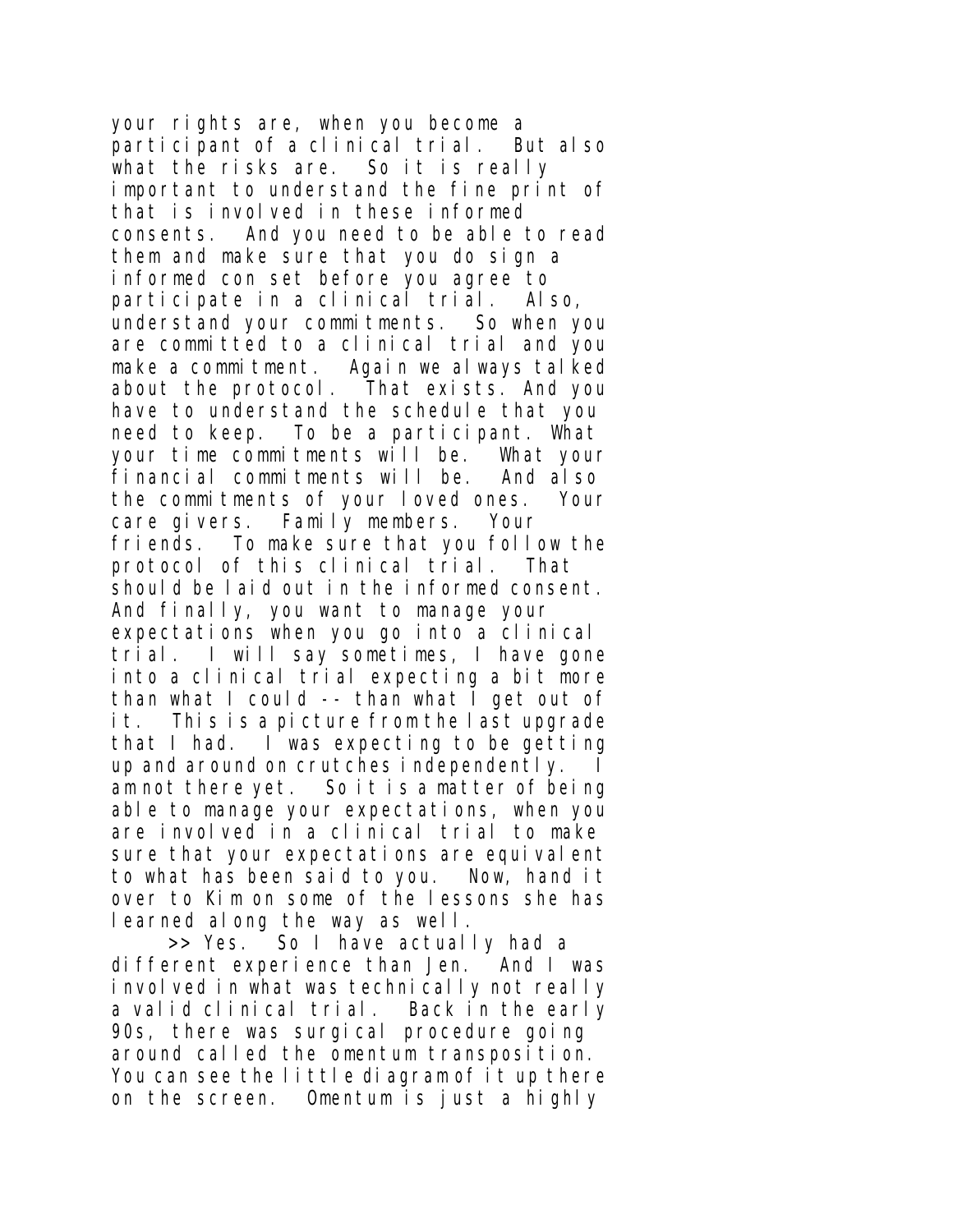your rights are, when you become a participant of a clinical trial. But also what the risks are. So it is really important to understand the fine print of that is involved in these informed consents. And you need to be able to read them and make sure that you do sign a informed con set before you agree to participate in a clinical trial. Also, understand your commitments. So when you are committed to a clinical trial and you make a commitment. Again we always talked about the protocol. That exists. And you have to understand the schedule that you need to keep. To be a participant. What your time commitments will be. What your financial commitments will be. And also the commitments of your loved ones. Your care givers. Family members. Your friends. To make sure that you follow the protocol of this clinical trial. That should be laid out in the informed consent. And finally, you want to manage your expectations when you go into a clinical trial. I will say sometimes, I have gone into a clinical trial expecting a bit more than what I could -- than what I get out of it. This is a picture from the last upgrade that I had. I was expecting to be getting up and around on crutches independently. I am not there yet. So it is a matter of being able to manage your expectations, when you are involved in a clinical trial to make sure that your expectations are equivalent to what has been said to you. Now, hand it over to Kim on some of the lessons she has learned along the way as well.

>> Yes. So I have actually had a different experience than Jen. And I was involved in what was technically not really a valid clinical trial. Back in the early 90s, there was surgical procedure going around called the omentum transposition. You can see the little diagram of it up there on the screen. Omentum is just a highly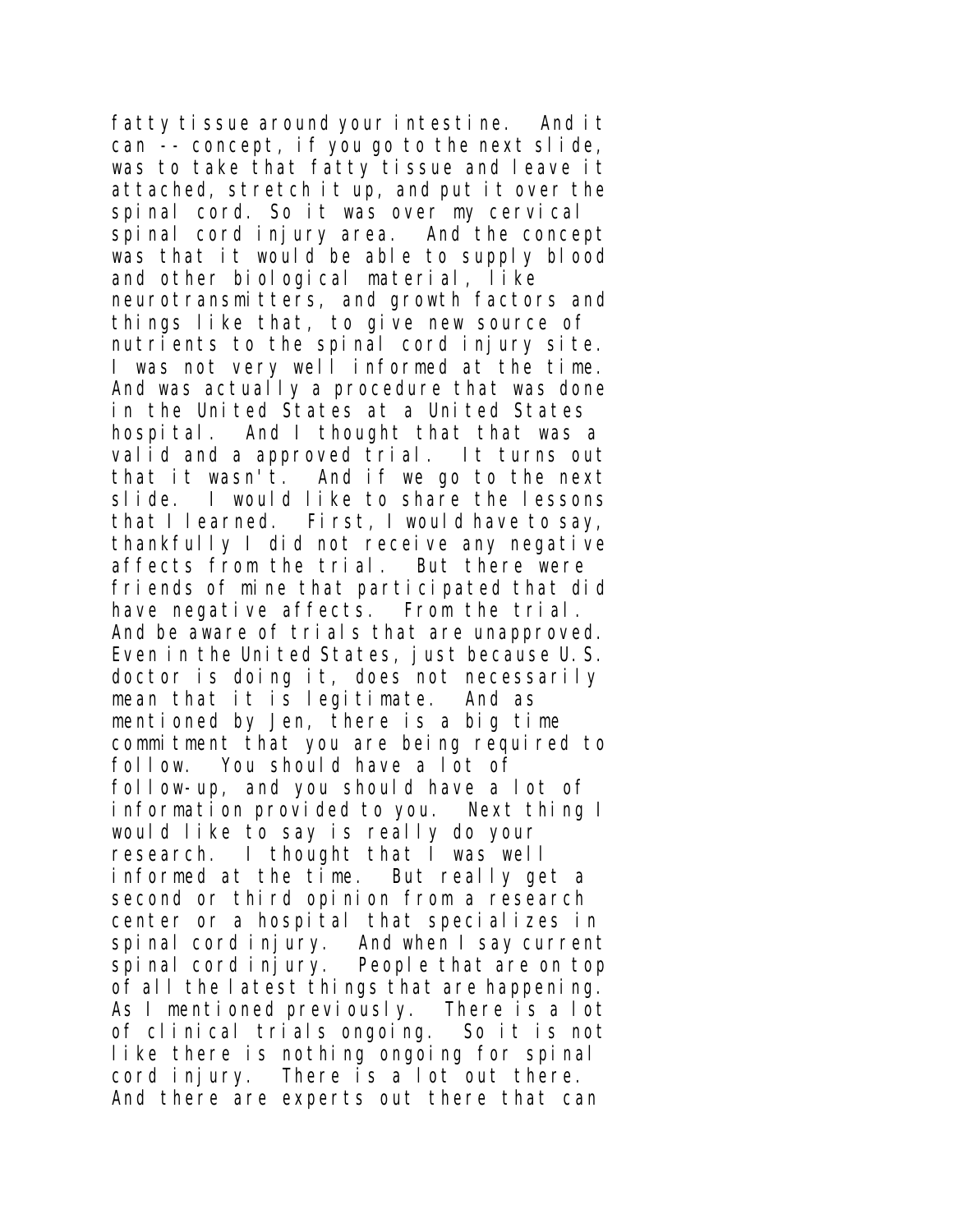fatty tissue around your intestine. And it can -- concept, if you go to the next slide, was to take that fatty tissue and leave it attached, stretch it up, and put it over the spinal cord. So it was over my cervical spinal cord injury area. And the concept was that it would be able to supply blood and other biological material, like neurotransmitters, and growth factors and things like that, to give new source of nutrients to the spinal cord injury site. I was not very well informed at the time. And was actually a procedure that was done in the United States at a United States hospital. And I thought that that was a valid and a approved trial. It turns out that it wasn't. And if we go to the next slide. I would like to share the lessons that I learned. First, I would have to say, thankfully I did not receive any negative affects from the trial. But there were friends of mine that participated that did have negative affects. From the trial. And be aware of trials that are unapproved. Even in the United States, just because U.S. doctor is doing it, does not necessarily mean that it is legitimate. And as mentioned by Jen, there is a big time commitment that you are being required to follow. You should have a lot of follow-up, and you should have a lot of information provided to you. Next thing I would like to say is really do your research. I thought that I was well informed at the time. But really get a second or third opinion from a research center or a hospital that specializes in spinal cord injury. And when I say current spinal cord injury. People that are on top of all the latest things that are happening. As I mentioned previously. There is a lot of clinical trials ongoing. So it is not like there is nothing ongoing for spinal cord injury. There is a lot out there. And there are experts out there that can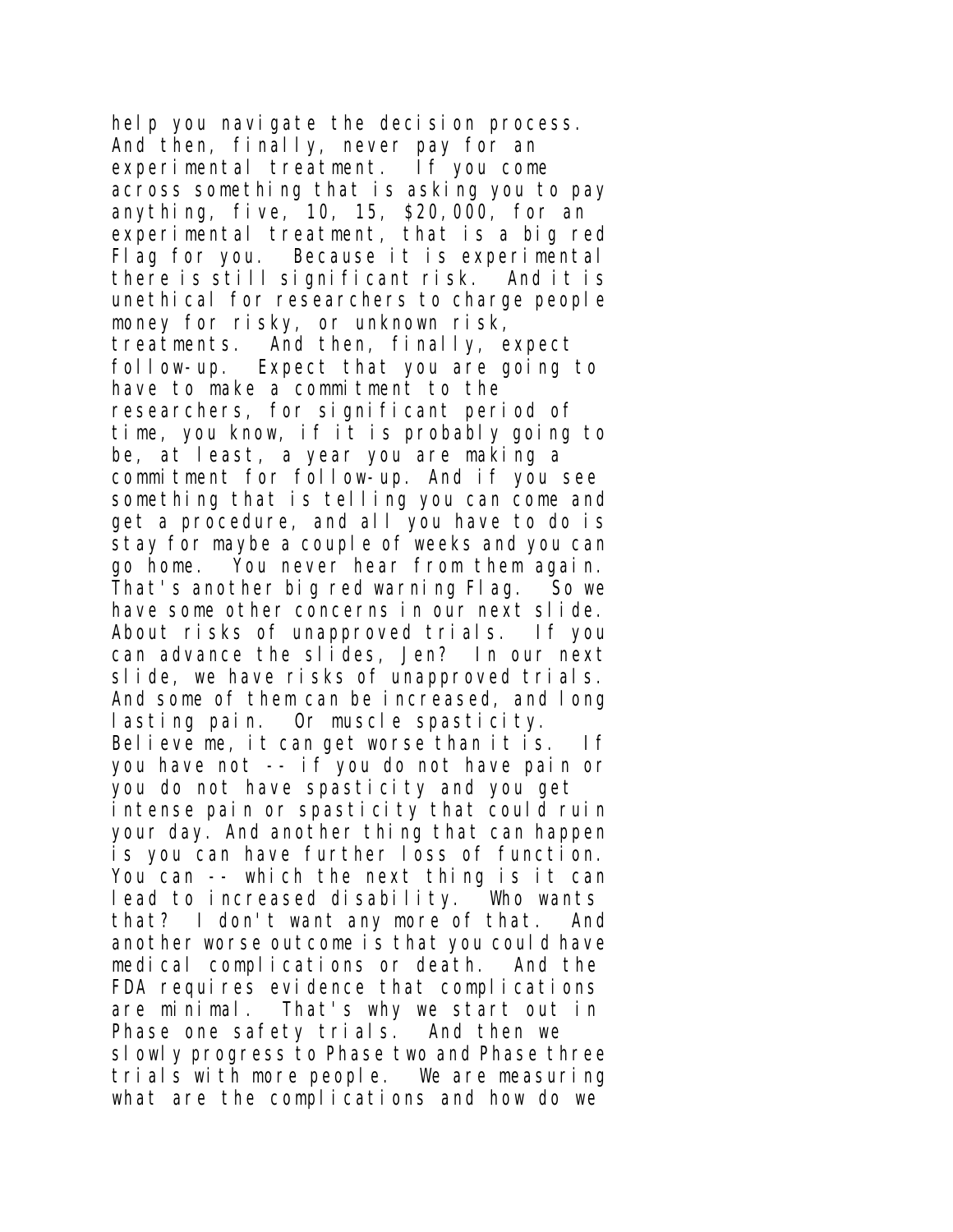help you navigate the decision process. And then, finally, never pay for an experimental treatment. If you come across something that is asking you to pay anything, five, 10, 15, \$20,000, for an experimental treatment, that is a big red Flag for you. Because it is experimental there is still significant risk. And it is unethical for researchers to charge people money for risky, or unknown risk, treatments. And then, finally, expect follow-up. Expect that you are going to have to make a commitment to the researchers, for significant period of time, you know, if it is probably going to be, at least, a year you are making a commitment for follow-up. And if you see something that is telling you can come and get a procedure, and all you have to do is stay for maybe a couple of weeks and you can go home. You never hear from them again. That's another big red warning Flag. So we have some other concerns in our next slide. About risks of unapproved trials. If you can advance the slides, Jen? In our next slide, we have risks of unapproved trials. And some of them can be increased, and long lasting pain. Or muscle spasticity. Believe me, it can get worse than it is. If you have not -- if you do not have pain or you do not have spasticity and you get intense pain or spasticity that could ruin your day. And another thing that can happen is you can have further loss of function. You can -- which the next thing is it can lead to increased disability. Who wants that? I don't want any more of that. And another worse outcome is that you could have medical complications or death. And the FDA requires evidence that complications are minimal. That's why we start out in Phase one safety trials. And then we slowly progress to Phase two and Phase three trials with more people. We are measuring what are the complications and how do we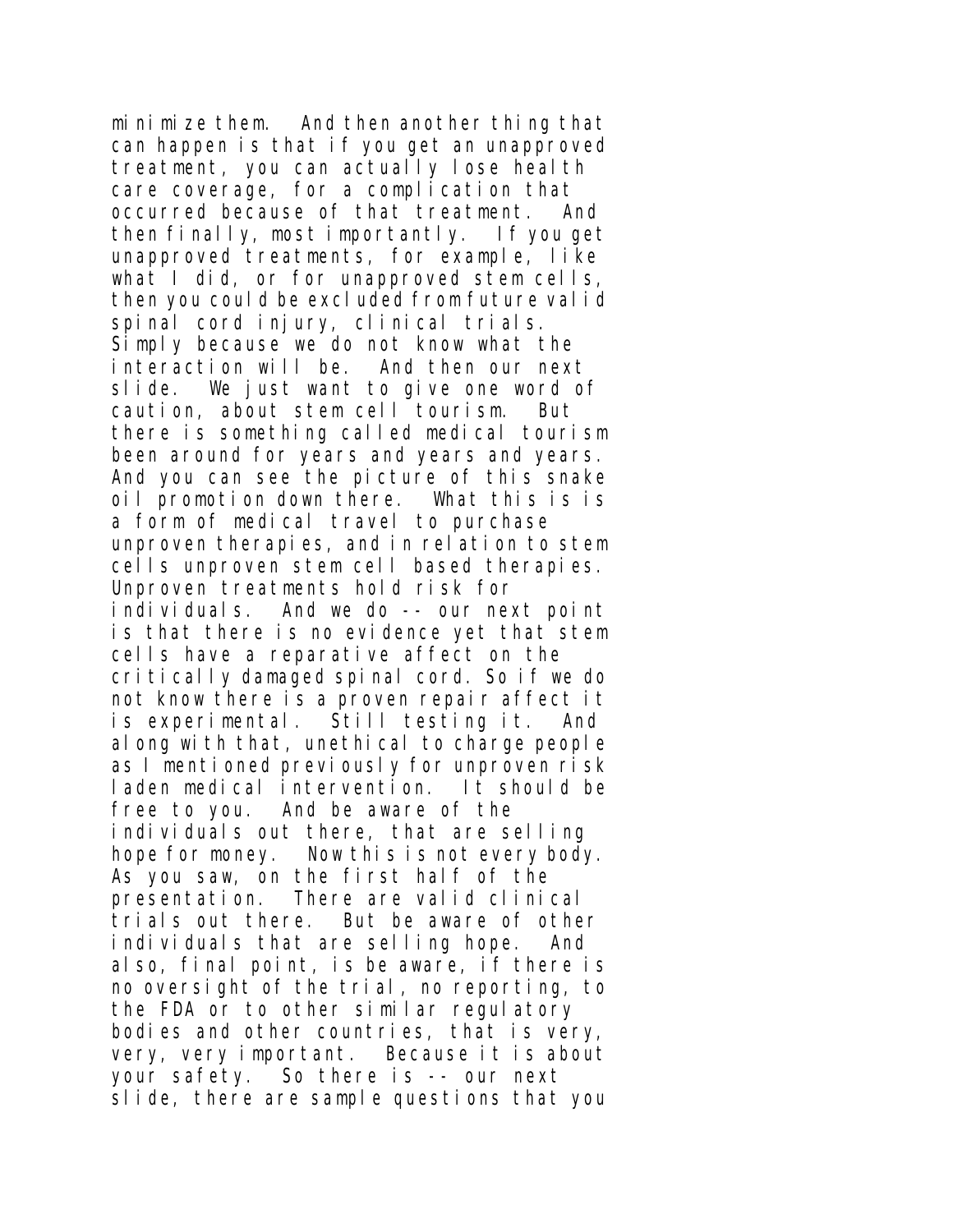minimize them. And then another thing that can happen is that if you get an unapproved treatment, you can actually lose health care coverage, for a complication that occurred because of that treatment. And then finally, most importantly. If you get unapproved treatments, for example, like what I did, or for unapproved stem cells, then you could be excluded from future valid spinal cord injury, clinical trials. Simply because we do not know what the interaction will be. And then our next slide. We just want to give one word of caution, about stem cell tourism. But there is something called medical tourism been around for years and years and years. And you can see the picture of this snake oil promotion down there. What this is is a form of medical travel to purchase unproven therapies, and in relation to stem cells unproven stem cell based therapies. Unproven treatments hold risk for individuals. And we do -- our next point is that there is no evidence yet that stem cells have a reparative affect on the critically damaged spinal cord. So if we do not know there is a proven repair affect it is experimental. Still testing it. And along with that, unethical to charge people as I mentioned previously for unproven risk laden medical intervention. It should be free to you. And be aware of the individuals out there, that are selling hope for money. Now this is not every body. As you saw, on the first half of the presentation. There are valid clinical trials out there. But be aware of other individuals that are selling hope. And also, final point, is be aware, if there is no oversight of the trial, no reporting, to the FDA or to other similar regulatory bodies and other countries, that is very, very, very important. Because it is about your safety. So there is -- our next slide, there are sample questions that you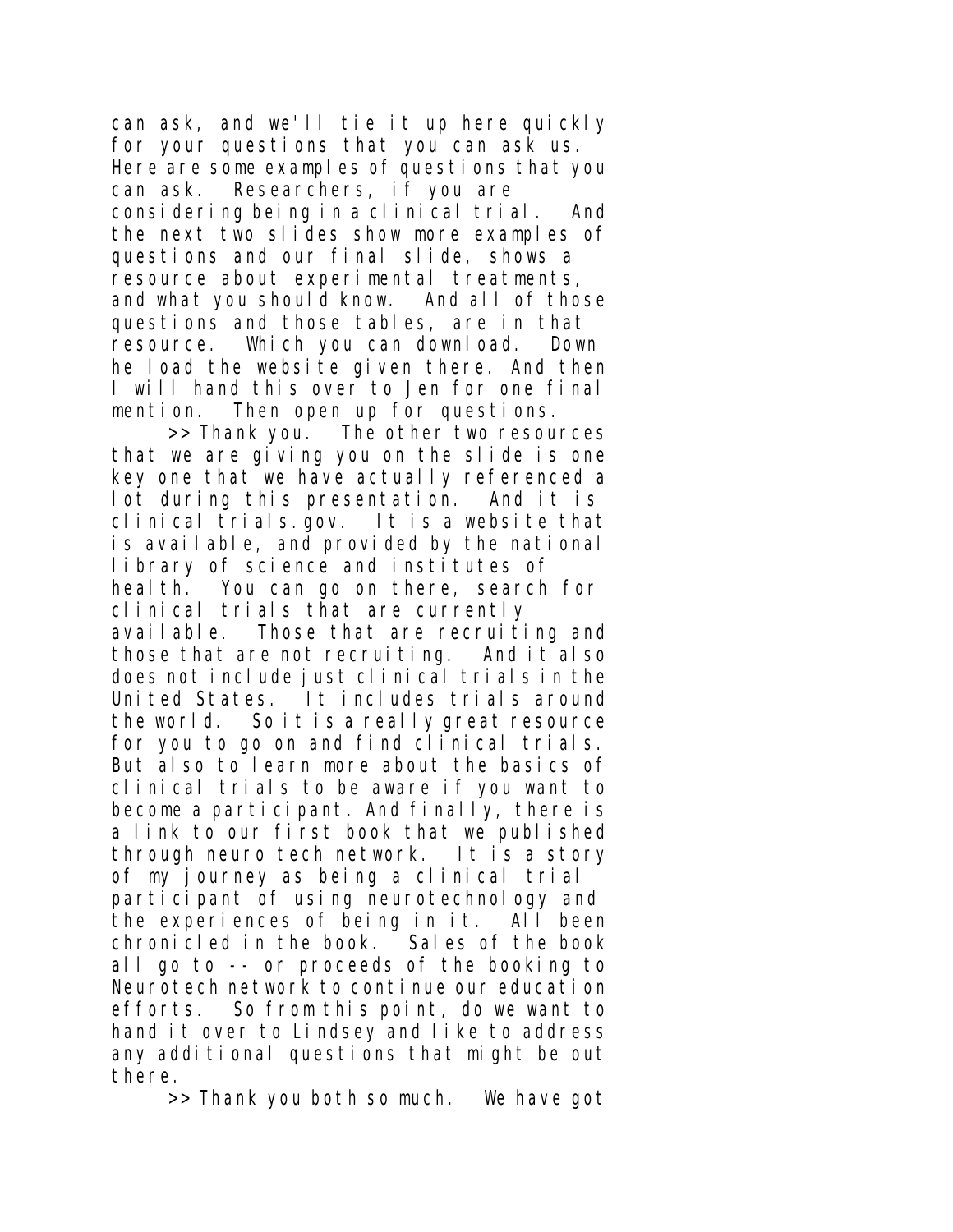can ask, and we'll tie it up here quickly for your questions that you can ask us. Here are some examples of questions that you can ask. Researchers, if you are considering being in a clinical trial. And the next two slides show more examples of questions and our final slide, shows a resource about experimental treatments, and what you should know. And all of those questions and those tables, are in that resource. Which you can download. Down he load the website given there. And then I will hand this over to Jen for one final mention. Then open up for questions.

>> Thank you. The other two resources that we are giving you on the slide is one key one that we have actually referenced a lot during this presentation. And it is clinical trials.gov. It is a website that is available, and provided by the national library of science and institutes of health. You can go on there, search for clinical trials that are currently available. Those that are recruiting and those that are not recruiting. And it also does not include just clinical trials in the United States. It includes trials around the world. So it is a really great resource for you to go on and find clinical trials. But also to learn more about the basics of clinical trials to be aware if you want to become a participant. And finally, there is a link to our first book that we published through neuro tech network. It is a story of my journey as being a clinical trial participant of using neurotechnology and the experiences of being in it. All been chronicled in the book. Sales of the book all go to -- or proceeds of the booking to Neurotech network to continue our education efforts. So from this point, do we want to hand it over to Lindsey and like to address any additional questions that might be out there.

>> Thank you both so much. We have got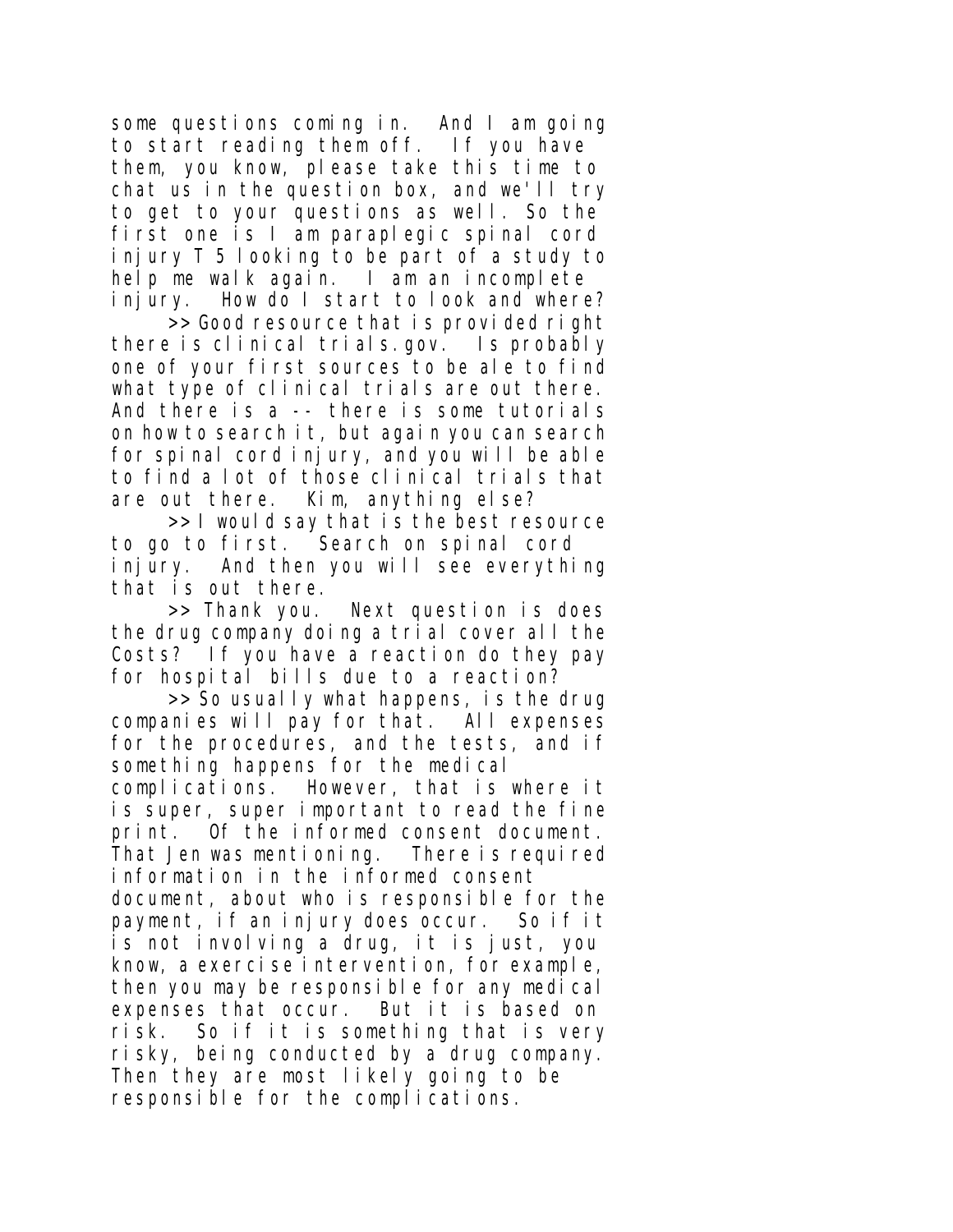some questions coming in. And I am going to start reading them off. If you have them, you know, please take this time to chat us in the question box, and we'll try to get to your questions as well. So the first one is I am paraplegic spinal cord injury T 5 looking to be part of a study to help me walk again. I am an incomplete injury. How do I start to look and where?

>> Good resource that is provided right there is clinical trials.gov. Is probably one of your first sources to be ale to find what type of clinical trials are out there. And there is a -- there is some tutorials on how to search it, but again you can search for spinal cord injury, and you will be able to find a lot of those clinical trials that are out there. Kim, anything else?

>> I would say that is the best resource to go to first. Search on spinal cord injury. And then you will see everything that is out there.

>> Thank you. Next question is does the drug company doing a trial cover all the Costs? If you have a reaction do they pay for hospital bills due to a reaction?

>> So usually what happens, is the drug companies will pay for that. All expenses for the procedures, and the tests, and if something happens for the medical

complications. However, that is where it is super, super important to read the fine print. Of the informed consent document. That Jen was mentioning. There is required information in the informed consent document, about who is responsible for the payment, if an injury does occur. So if it is not involving a drug, it is just, you know, a exercise intervention, for example, then you may be responsible for any medical expenses that occur. But it is based on risk. So if it is something that is very risky, being conducted by a drug company. Then they are most likely going to be responsible for the complications.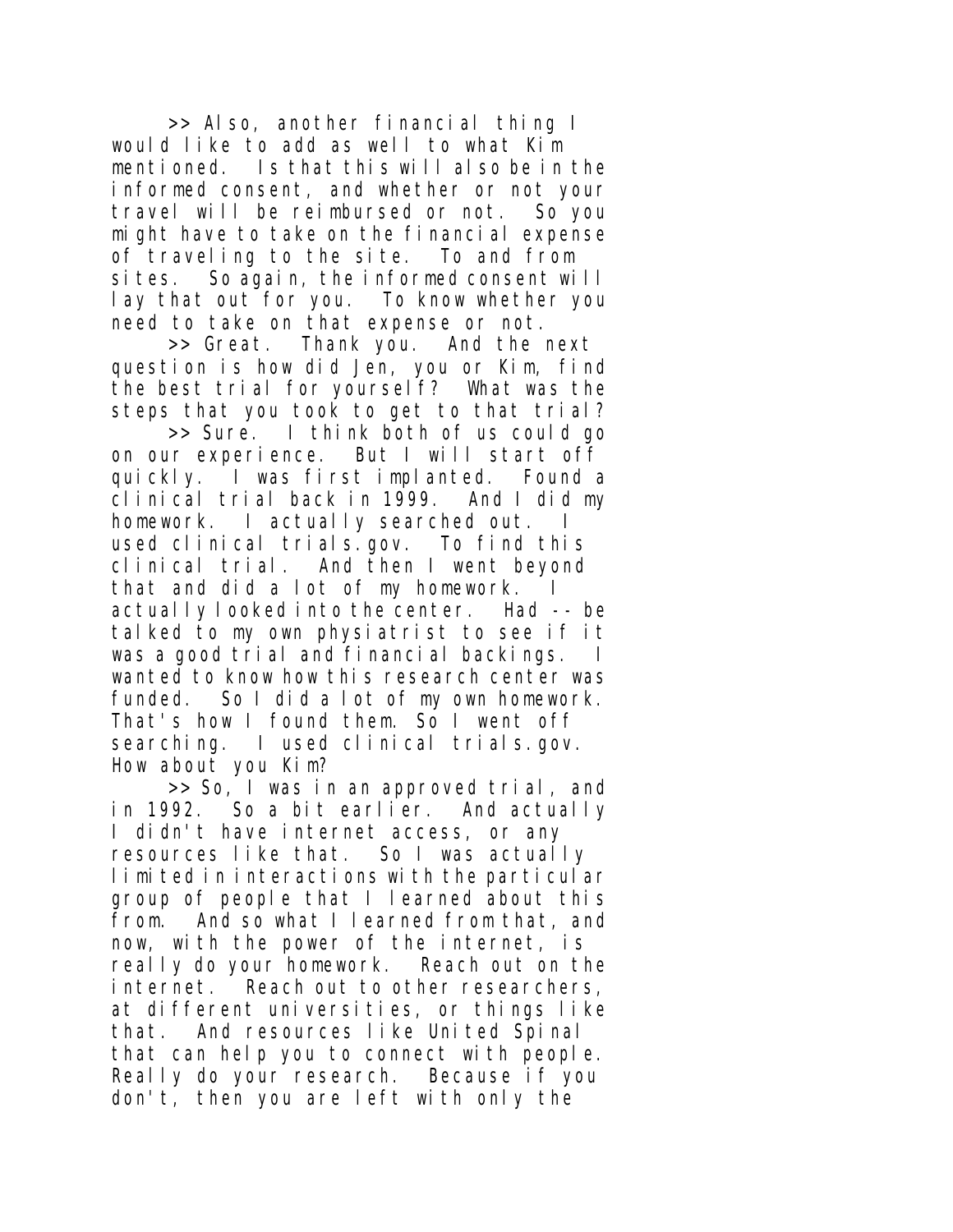>> Also, another financial thing I would like to add as well to what Kim mentioned. Is that this will also be in the informed consent, and whether or not your travel will be reimbursed or not. So you might have to take on the financial expense of traveling to the site. To and from sites. So again, the informed consent will lay that out for you. To know whether you need to take on that expense or not.

>> Great. Thank you. And the next question is how did Jen, you or Kim, find the best trial for yourself? What was the steps that you took to get to that trial?

>> Sure. I think both of us could go on our experience. But I will start off quickly. I was first implanted. Found a clinical trial back in 1999. And I did my homework. I actually searched out. used clinical trials.gov. To find this clinical trial. And then I went beyond that and did a lot of my homework. I actually looked into the center. Had -- be talked to my own physiatrist to see if it was a good trial and financial backings. I wanted to know how this research center was funded. So I did a lot of my own homework. That's how I found them. So I went off searching. I used clinical trials.gov. How about you Kim?

>> So, I was in an approved trial, and in 1992. So a bit earlier. And actually I didn't have internet access, or any resources like that. So I was actually limited in interactions with the particular group of people that I learned about this from. And so what I learned from that, and now, with the power of the internet, is really do your homework. Reach out on the internet. Reach out to other researchers, at different universities, or things like that. And resources like United Spinal that can help you to connect with people. Really do your research. Because if you don't, then you are left with only the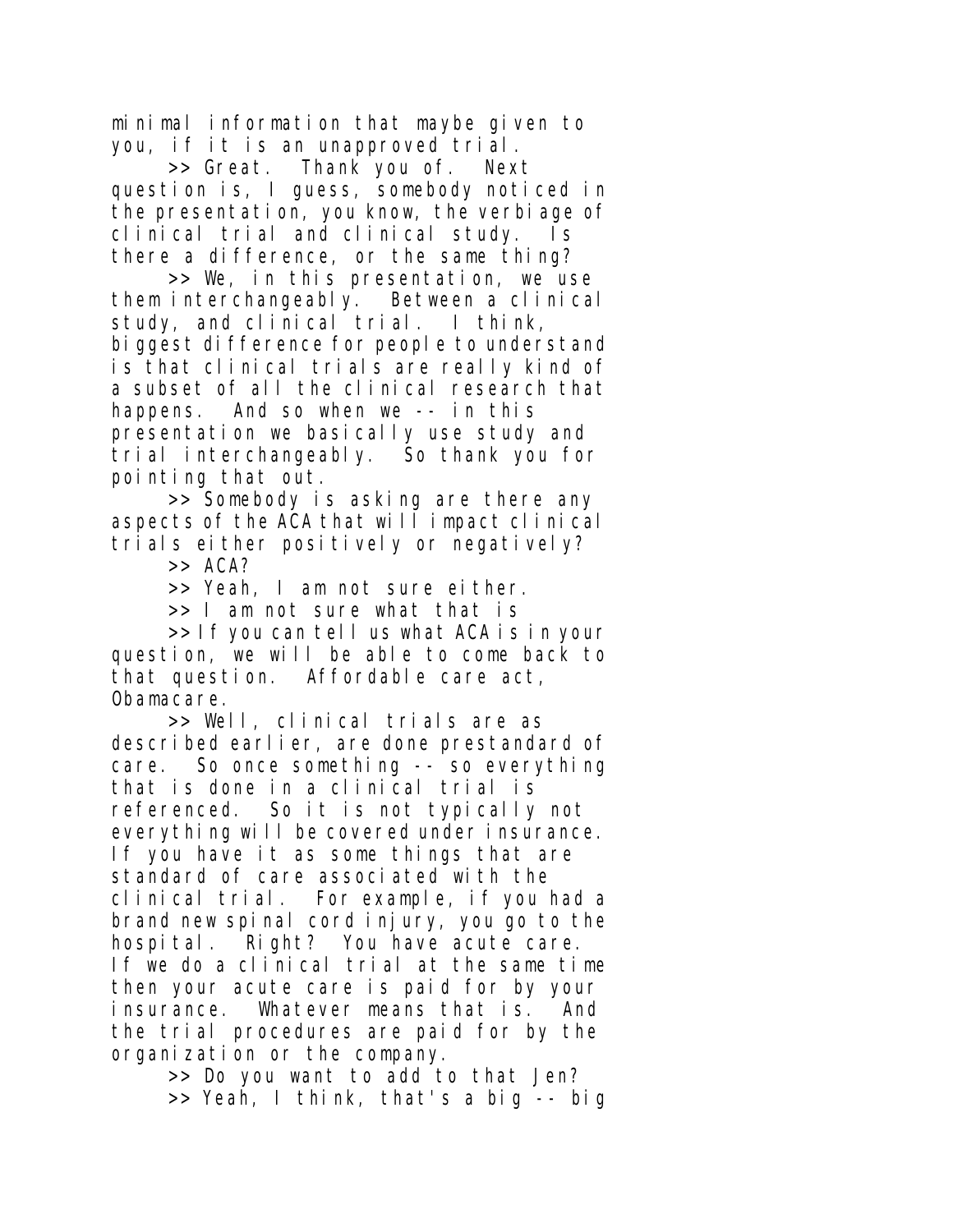minimal information that maybe given to you, if it is an unapproved trial.

>> Great. Thank you of. Next question is, I guess, somebody noticed in the presentation, you know, the verbiage of clinical trial and clinical study. Is there a difference, or the same thing?

>> We, in this presentation, we use them interchangeably. Between a clinical study, and clinical trial. I think, biggest difference for people to understand is that clinical trials are really kind of a subset of all the clinical research that happens. And so when we -- in this presentation we basically use study and trial interchangeably. So thank you for pointing that out.

>> Somebody is asking are there any aspects of the ACA that will impact clinical trials either positively or negatively?

>> ACA?

>> Yeah, I am not sure either.

>> I am not sure what that is

>> If you can tell us what ACA is in your question, we will be able to come back to that question. Affordable care act, Obamacare.

>> Well, clinical trials are as described earlier, are done prestandard of care. So once something -- so everything that is done in a clinical trial is referenced. So it is not typically not everything will be covered under insurance. If you have it as some things that are standard of care associated with the clinical trial. For example, if you had a brand new spinal cord injury, you go to the hospital. Right? You have acute care. If we do a clinical trial at the same time then your acute care is paid for by your insurance. Whatever means that is. And the trial procedures are paid for by the organization or the company.

>> Do you want to add to that Jen? >> Yeah, I think, that's a big -- big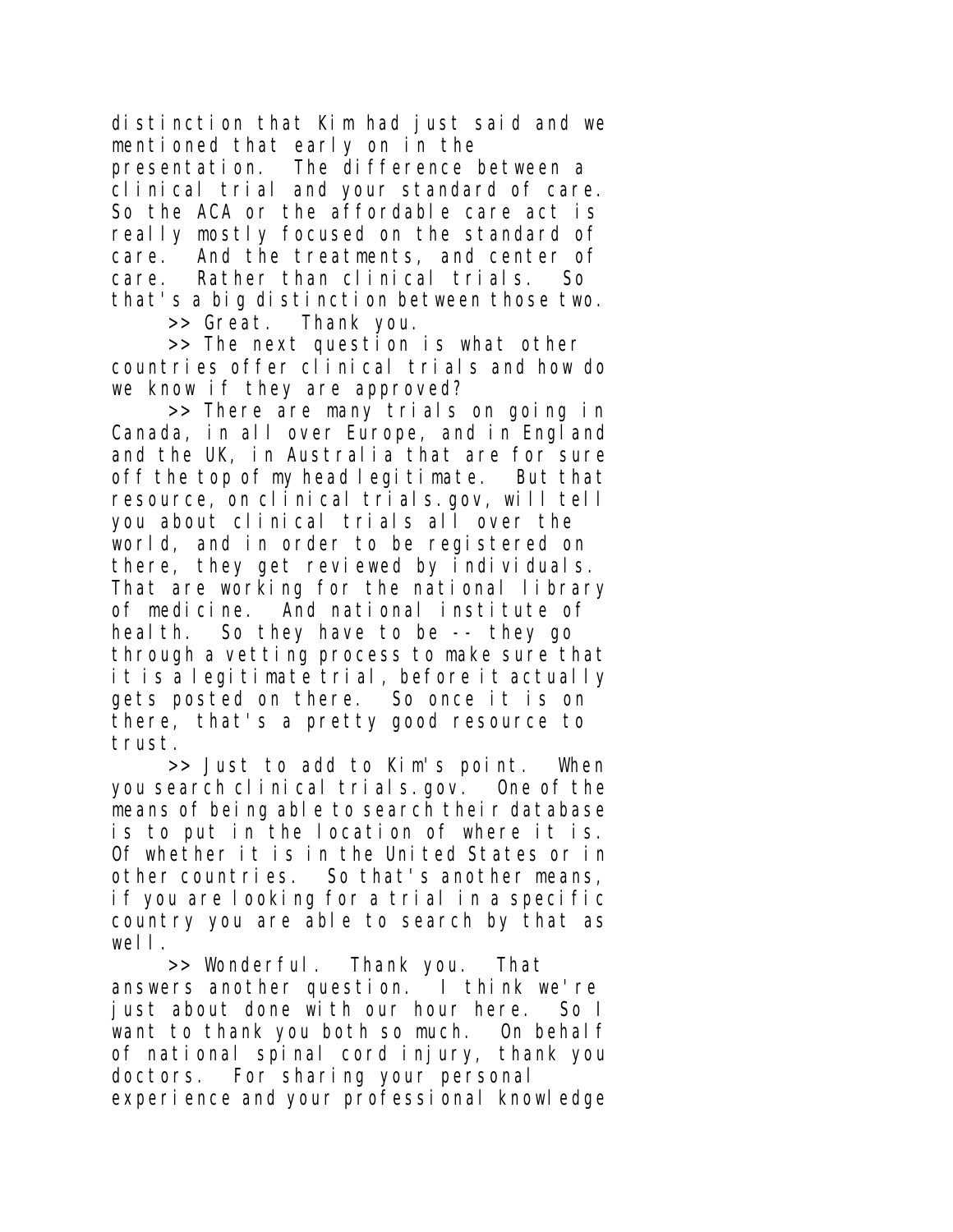distinction that Kim had just said and we mentioned that early on in the

presentation. The difference between a clinical trial and your standard of care. So the ACA or the affordable care act is really mostly focused on the standard of care. And the treatments, and center of care. Rather than clinical trials. So that's a big distinction between those two.

>> Great. Thank you.

>> The next question is what other countries offer clinical trials and how do we know if they are approved?

>> There are many trials on going in Canada, in all over Europe, and in England and the UK, in Australia that are for sure off the top of my head legitimate. But that resource, on clinical trials.gov, will tell you about clinical trials all over the world, and in order to be registered on there, they get reviewed by individuals. That are working for the national library of medicine. And national institute of heal th. So they have to be -- they go through a vetting process to make sure that it is a legitimate trial, before it actually gets posted on there. So once it is on there, that's a pretty good resource to trust.

>> Just to add to Kim's point. When you search clinical trials.gov. One of the means of being able to search their database is to put in the location of where it is. Of whether it is in the United States or in other countries. So that's another means, if you are looking for a trial in a specific country you are able to search by that as well.

>> Wonderful. Thank you. That answers another question. I think we're iust about done with our hour here. So I want to thank you both so much. On behalf of national spinal cord injury, thank you doctors. For sharing your personal experience and your professional knowledge